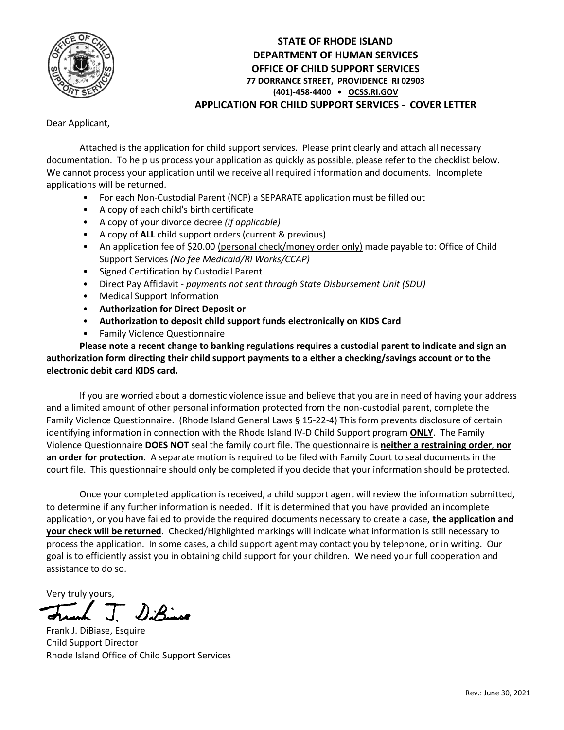

# **STATE OF RHODE ISLAND DEPARTMENT OF HUMAN SERVICES OFFICE OF CHILD SUPPORT SERVICES 77 DORRANCE STREET, PROVIDENCE RI 02903 (401)-458-4400 • [OCSS.RI.GOV](http://www.cse.ri.gov/) APPLICATION FOR CHILD SUPPORT SERVICES - COVER LETTER**

Dear Applicant,

Attached is the application for child support services. Please print clearly and attach all necessary documentation. To help us process your application as quickly as possible, please refer to the checklist below. We cannot process your application until we receive all required information and documents. Incomplete applications will be returned.

- For each Non-Custodial Parent (NCP) a SEPARATE application must be filled out
- A copy of each child's birth certificate
- A copy of your divorce decree *(if applicable)*
- A copy of **ALL** child support orders (current & previous)
- An application fee of \$20.00 (personal check/money order only) made payable to: Office of Child Support Services *(No fee Medicaid/RI Works/CCAP)*
- Signed Certification by Custodial Parent
- Direct Pay Affidavit *payments not sent through State Disbursement Unit (SDU)*
- Medical Support Information
- **Authorization for Direct Deposit or**
- **Authorization to deposit child support funds electronically on KIDS Card**
- Family Violence Questionnaire

**Please note a recent change to banking regulations requires a custodial parent to indicate and sign an authorization form directing their child support payments to a either a checking/savings account or to the electronic debit card KIDS card.**

If you are worried about a domestic violence issue and believe that you are in need of having your address and a limited amount of other personal information protected from the non-custodial parent, complete the Family Violence Questionnaire. (Rhode Island General Laws § 15-22-4) This form prevents disclosure of certain identifying information in connection with the Rhode Island IV-D Child Support program **ONLY**. The Family Violence Questionnaire **DOES NOT** seal the family court file. The questionnaire is **neither a restraining order, nor an order for protection**. A separate motion is required to be filed with Family Court to seal documents in the court file. This questionnaire should only be completed if you decide that your information should be protected.

Once your completed application is received, a child support agent will review the information submitted, to determine if any further information is needed. If it is determined that you have provided an incomplete application, or you have failed to provide the required documents necessary to create a case, **the application and your check will be returned**. Checked/Highlighted markings will indicate what information is still necessary to process the application. In some cases, a child support agent may contact you by telephone, or in writing. Our goal is to efficiently assist you in obtaining child support for your children. We need your full cooperation and assistance to do so.

Very truly yours,

DiBinne

Frank J. DiBiase, Esquire Child Support Director Rhode Island Office of Child Support Services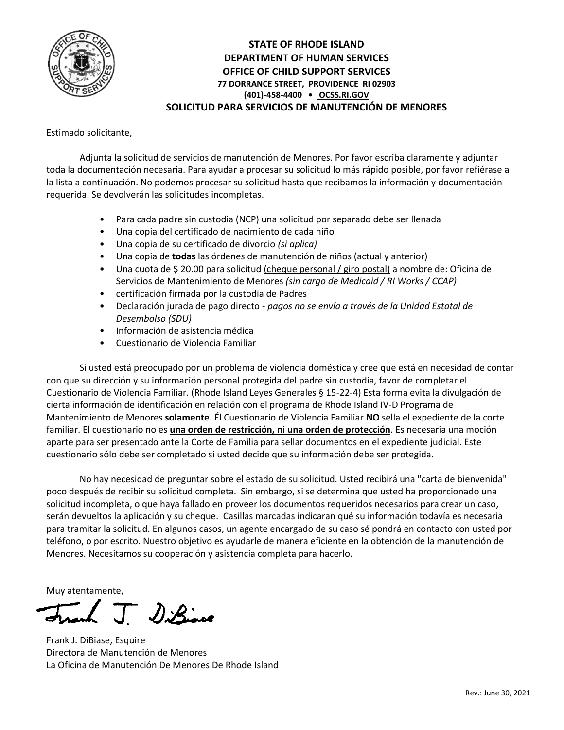

# **STATE OF RHODE ISLAND DEPARTMENT OF HUMAN SERVICES OFFICE OF CHILD SUPPORT SERVICES 77 DORRANCE STREET, PROVIDENCE RI 02903 (401)-458-4400 • [OCSS.RI.GOV](http://www.cse.ri.gov/) SOLICITUD PARA SERVICIOS DE MANUTENCIÓN DE MENORES**

Estimado solicitante,

Adjunta la solicitud de servicios de manutención de Menores. Por favor escriba claramente y adjuntar toda la documentación necesaria. Para ayudar a procesar su solicitud lo más rápido posible, por favor refiérase a la lista a continuación. No podemos procesar su solicitud hasta que recibamos la información y documentación requerida. Se devolverán las solicitudes incompletas.

- Para cada padre sin custodia (NCP) una solicitud por separado debe ser llenada
- Una copia del certificado de nacimiento de cada niño
- Una copia de su certificado de divorcio *(si aplica)*
- Una copia de **todas** las órdenes de manutención de niños (actual y anterior)
- Una cuota de \$20.00 para solicitud (cheque personal / giro postal) a nombre de: Oficina de Servicios de Mantenimiento de Menores *(sin cargo de Medicaid / RI Works / CCAP)*
- certificación firmada por la custodia de Padres
- Declaración jurada de pago directo *pagos no se envía a través de la Unidad Estatal de Desembolso (SDU)*
- Información de asistencia médica
- Cuestionario de Violencia Familiar

Si usted está preocupado por un problema de violencia doméstica y cree que está en necesidad de contar con que su dirección y su información personal protegida del padre sin custodia, favor de completar el Cuestionario de Violencia Familiar. (Rhode Island Leyes Generales § 15-22-4) Esta forma evita la divulgación de cierta información de identificación en relación con el programa de Rhode Island IV-D Programa de Mantenimiento de Menores **solamente**. Él Cuestionario de Violencia Familiar **NO** sella el expediente de la corte familiar. El cuestionario no es **una orden de restricción, ni una orden de protección**. Es necesaria una moción aparte para ser presentado ante la Corte de Familia para sellar documentos en el expediente judicial. Este cuestionario sólo debe ser completado si usted decide que su información debe ser protegida.

No hay necesidad de preguntar sobre el estado de su solicitud. Usted recibirá una "carta de bienvenida" poco después de recibir su solicitud completa. Sin embargo, si se determina que usted ha proporcionado una solicitud incompleta, o que haya fallado en proveer los documentos requeridos necesarios para crear un caso, serán devueltos la aplicación y su cheque. Casillas marcadas indicaran qué su información todavía es necesaria para tramitar la solicitud. En algunos casos, un agente encargado de su caso sé pondrá en contacto con usted por teléfono, o por escrito. Nuestro objetivo es ayudarle de manera eficiente en la obtención de la manutención de Menores. Necesitamos su cooperación y asistencia completa para hacerlo.

Muy atentamente,

(J. DiBine

Frank J. DiBiase, Esquire Directora de Manutención de Menores La Oficina de Manutención De Menores De Rhode Island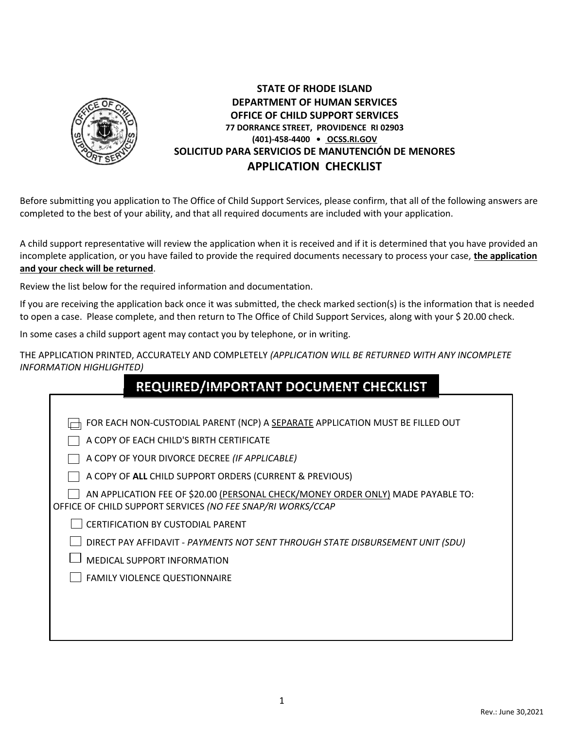

# **STATE OF RHODE ISLAND DEPARTMENT OF HUMAN SERVICES OFFICE OF CHILD SUPPORT SERVICES 77 DORRANCE STREET, PROVIDENCE RI 02903 (401)-458-4400 • [OCSS.RI.GOV](http://www.cse.ri.gov/) SOLICITUD PARA SERVICIOS DE MANUTENCIÓN DE MENORES APPLICATION CHECKLIST**

Before submitting you application to The Office of Child Support Services, please confirm, that all of the following answers are completed to the best of your ability, and that all required documents are included with your application.

A child support representative will review the application when it is received and if it is determined that you have provided an incomplete application, or you have failed to provide the required documents necessary to process your case, **the application and your check will be returned**.

Review the list below for the required information and documentation.

If you are receiving the application back once it was submitted, the check marked section(s) is the information that is needed to open a case. Please complete, and then return to The Office of Child Support Services, along with your \$ 20.00 check.

In some cases a child support agent may contact you by telephone, or in writing.

THE APPLICATION PRINTED, ACCURATELY AND COMPLETELY *(APPLICATION WILL BE RETURNED WITH ANY INCOMPLETE INFORMATION HIGHLIGHTED)*

| REQUIRED/IMPORTANT DOCUMENT CHECKLIST                                                                                                           |
|-------------------------------------------------------------------------------------------------------------------------------------------------|
|                                                                                                                                                 |
| FOR EACH NON-CUSTODIAL PARENT (NCP) A SEPARATE APPLICATION MUST BE FILLED OUT                                                                   |
| A COPY OF EACH CHILD'S BIRTH CERTIFICATE                                                                                                        |
| A COPY OF YOUR DIVORCE DECREE (IF APPLICABLE)                                                                                                   |
| A COPY OF ALL CHILD SUPPORT ORDERS (CURRENT & PREVIOUS)                                                                                         |
| AN APPLICATION FEE OF \$20.00 (PERSONAL CHECK/MONEY ORDER ONLY) MADE PAYABLE TO:<br>OFFICE OF CHILD SUPPORT SERVICES (NO FEE SNAP/RI WORKS/CCAP |
| <b>CERTIFICATION BY CUSTODIAL PARENT</b>                                                                                                        |
| DIRECT PAY AFFIDAVIT - PAYMENTS NOT SENT THROUGH STATE DISBURSEMENT UNIT (SDU)                                                                  |
| MEDICAL SUPPORT INFORMATION                                                                                                                     |
| <b>FAMILY VIOLENCE QUESTIONNAIRE</b>                                                                                                            |
|                                                                                                                                                 |
|                                                                                                                                                 |
|                                                                                                                                                 |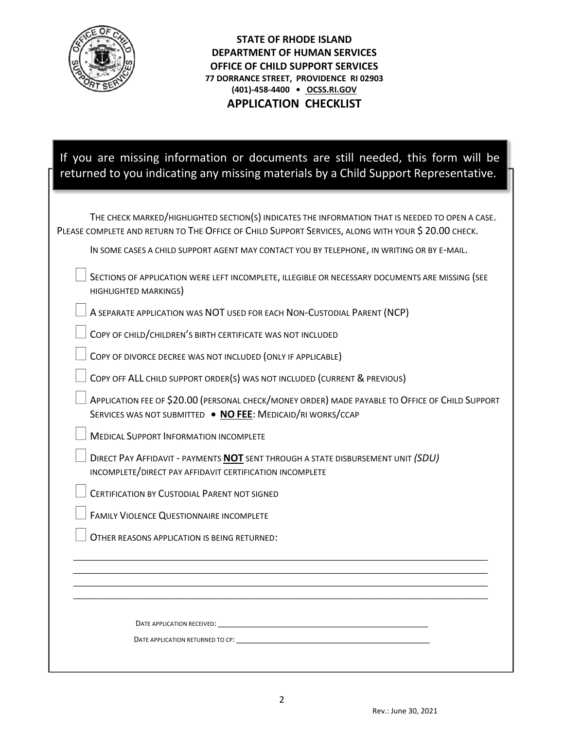

**STATE OF RHODE ISLAND DEPARTMENT OF HUMAN SERVICES OFFICE OF CHILD SUPPORT SERVICES 77 DORRANCE STREET, PROVIDENCE RI 02903 (401)-458-4400 • [OCSS.RI.GOV](http://www.cse.ri.gov/) APPLICATION CHECKLIST**

| If you are missing information or documents are still needed, this form will be<br>returned to you indicating any missing materials by a Child Support Representative.                                                         |
|--------------------------------------------------------------------------------------------------------------------------------------------------------------------------------------------------------------------------------|
| THE CHECK MARKED/HIGHLIGHTED SECTION(S) INDICATES THE INFORMATION THAT IS NEEDED TO OPEN A CASE.<br>PLEASE COMPLETE AND RETURN TO THE OFFICE OF CHILD SUPPORT SERVICES, ALONG WITH YOUR \$ 20.00 CHECK.                        |
| IN SOME CASES A CHILD SUPPORT AGENT MAY CONTACT YOU BY TELEPHONE, IN WRITING OR BY E-MAIL.                                                                                                                                     |
| SECTIONS OF APPLICATION WERE LEFT INCOMPLETE, ILLEGIBLE OR NECESSARY DOCUMENTS ARE MISSING (SEE<br>HIGHLIGHTED MARKINGS)                                                                                                       |
| A SEPARATE APPLICATION WAS NOT USED FOR EACH NON-CUSTODIAL PARENT (NCP)                                                                                                                                                        |
| COPY OF CHILD/CHILDREN'S BIRTH CERTIFICATE WAS NOT INCLUDED                                                                                                                                                                    |
| COPY OF DIVORCE DECREE WAS NOT INCLUDED (ONLY IF APPLICABLE)                                                                                                                                                                   |
| COPY OFF ALL CHILD SUPPORT ORDER(S) WAS NOT INCLUDED (CURRENT & PREVIOUS)                                                                                                                                                      |
| APPLICATION FEE OF \$20.00 (PERSONAL CHECK/MONEY ORDER) MADE PAYABLE TO OFFICE OF CHILD SUPPORT<br>SERVICES WAS NOT SUBMITTED . NO FEE: MEDICAID/RI WORKS/CCAP                                                                 |
| <b>MEDICAL SUPPORT INFORMATION INCOMPLETE</b>                                                                                                                                                                                  |
| DIRECT PAY AFFIDAVIT - PAYMENTS <b>NOT</b> SENT THROUGH A STATE DISBURSEMENT UNIT (SDU)<br>INCOMPLETE/DIRECT PAY AFFIDAVIT CERTIFICATION INCOMPLETE                                                                            |
| <b>CERTIFICATION BY CUSTODIAL PARENT NOT SIGNED</b>                                                                                                                                                                            |
| FAMILY VIOLENCE QUESTIONNAIRE INCOMPLETE                                                                                                                                                                                       |
| OTHER REASONS APPLICATION IS BEING RETURNED:                                                                                                                                                                                   |
|                                                                                                                                                                                                                                |
|                                                                                                                                                                                                                                |
| DATE APPLICATION RECEIVED: The contract of the contract of the contract of the contract of the contract of the                                                                                                                 |
| DATE APPLICATION RETURNED TO CP: the state of the state of the state of the state of the state of the state of the state of the state of the state of the state of the state of the state of the state of the state of the sta |
|                                                                                                                                                                                                                                |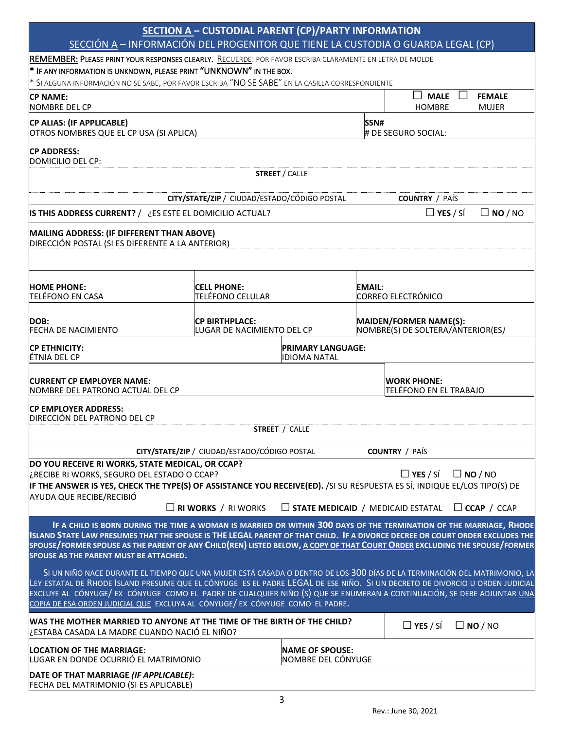|                                                                                                                                                                                                                                                                                                                                                                                                                                                                       | <b>SECTION A - CUSTODIAL PARENT (CP)/PARTY INFORMATION</b><br>SECCIÓN A - INFORMACIÓN DEL PROGENITOR QUE TIENE LA CUSTODIA O GUARDA LEGAL (CP) |                                                             |                                     |                                                                    |                |
|-----------------------------------------------------------------------------------------------------------------------------------------------------------------------------------------------------------------------------------------------------------------------------------------------------------------------------------------------------------------------------------------------------------------------------------------------------------------------|------------------------------------------------------------------------------------------------------------------------------------------------|-------------------------------------------------------------|-------------------------------------|--------------------------------------------------------------------|----------------|
| REMEMBER: PLEASE PRINT YOUR RESPONSES CLEARLY. RECUERDE: POR FAVOR ESCRIBA CLARAMENTE EN LETRA DE MOLDE                                                                                                                                                                                                                                                                                                                                                               |                                                                                                                                                |                                                             |                                     |                                                                    |                |
| * IF ANY INFORMATION IS UNKNOWN, PLEASE PRINT "UNKNOWN" IN THE BOX.<br>* SI ALGUNA INFORMACIÓN NO SE SABE, POR FAVOR ESCRIBA "NO SE SABE" EN LA CASILLA CORRESPONDIENTE                                                                                                                                                                                                                                                                                               |                                                                                                                                                |                                                             |                                     |                                                                    |                |
| <b>CP NAME:</b>                                                                                                                                                                                                                                                                                                                                                                                                                                                       |                                                                                                                                                |                                                             |                                     | <b>MALE</b><br>$\Box$<br>$\mathbf{I}$                              | <b>FEMALE</b>  |
| <b>NOMBRE DEL CP</b>                                                                                                                                                                                                                                                                                                                                                                                                                                                  |                                                                                                                                                |                                                             |                                     | <b>HOMBRE</b>                                                      | <b>MUJER</b>   |
| CP ALIAS: (IF APPLICABLE)<br>OTROS NOMBRES QUE EL CP USA (SI APLICA)                                                                                                                                                                                                                                                                                                                                                                                                  |                                                                                                                                                |                                                             | SSN#<br># DE SEGURO SOCIAL:         |                                                                    |                |
| <b>CP ADDRESS:</b><br>DOMICILIO DEL CP:                                                                                                                                                                                                                                                                                                                                                                                                                               |                                                                                                                                                |                                                             |                                     |                                                                    |                |
|                                                                                                                                                                                                                                                                                                                                                                                                                                                                       |                                                                                                                                                | <b>STREET / CALLE</b>                                       |                                     |                                                                    |                |
|                                                                                                                                                                                                                                                                                                                                                                                                                                                                       | CITY/STATE/ZIP / CIUDAD/ESTADO/CÓDIGO POSTAL                                                                                                   |                                                             |                                     | <b>COUNTRY</b> / PAÍS                                              |                |
| <b>IS THIS ADDRESS CURRENT?</b> / ¿ES ESTE EL DOMICILIO ACTUAL?                                                                                                                                                                                                                                                                                                                                                                                                       |                                                                                                                                                |                                                             |                                     | $\Box$ YES / SÍ                                                    | $\Box$ NO / NO |
| MAILING ADDRESS: (IF DIFFERENT THAN ABOVE)<br>DIRECCIÓN POSTAL (SI ES DIFERENTE A LA ANTERIOR)                                                                                                                                                                                                                                                                                                                                                                        |                                                                                                                                                |                                                             |                                     |                                                                    |                |
| <b>HOME PHONE:</b><br>TELÉFONO EN CASA                                                                                                                                                                                                                                                                                                                                                                                                                                | <b>CELL PHONE:</b><br>TELÉFONO CELULAR                                                                                                         |                                                             | EMAIL:<br><b>CORREO ELECTRÓNICO</b> |                                                                    |                |
| DOB:<br><b>FECHA DE NACIMIENTO</b>                                                                                                                                                                                                                                                                                                                                                                                                                                    | <b>CP BIRTHPLACE:</b><br>LUGAR DE NACIMIENTO DEL CP                                                                                            |                                                             |                                     | <b>MAIDEN/FORMER NAME(S):</b><br>NOMBRE(S) DE SOLTERA/ANTERIOR(ES) |                |
| CP ETHNICITY:<br>ÉTNIA DEL CP                                                                                                                                                                                                                                                                                                                                                                                                                                         |                                                                                                                                                | <b>PRIMARY LANGUAGE:</b><br><b>IDIOMA NATAL</b>             |                                     |                                                                    |                |
| <b>CURRENT CP EMPLOYER NAME:</b><br>NOMBRE DEL PATRONO ACTUAL DEL CP                                                                                                                                                                                                                                                                                                                                                                                                  |                                                                                                                                                |                                                             |                                     | <b>WORK PHONE:</b><br>TELÉFONO EN EL TRABAJO                       |                |
| CP EMPLOYER ADDRESS:<br>DIRECCIÓN DEL PATRONO DEL CP                                                                                                                                                                                                                                                                                                                                                                                                                  |                                                                                                                                                | <b>STREET / CALLE</b>                                       |                                     |                                                                    |                |
|                                                                                                                                                                                                                                                                                                                                                                                                                                                                       |                                                                                                                                                |                                                             |                                     |                                                                    |                |
|                                                                                                                                                                                                                                                                                                                                                                                                                                                                       | CITY/STATE/ZIP / CIUDAD/ESTADO/CÓDIGO POSTAL                                                                                                   |                                                             | <b>COUNTRY</b> / PAÍS               |                                                                    |                |
| DO YOU RECEIVE RI WORKS, STATE MEDICAL, OR CCAP?<br>¿RECIBE RI WORKS, SEGURO DEL ESTADO O CCAP?<br>IF THE ANSWER IS YES, CHECK THE TYPE(S) OF ASSISTANCE YOU RECEIVE(ED). /SI SU RESPUESTA ES SÍ, INDIQUE EL/LOS TIPO(S) DE<br>AYUDA QUE RECIBE/RECIBIÓ                                                                                                                                                                                                               |                                                                                                                                                |                                                             |                                     | $\Box$ YES / SÍ                                                    | $\Box$ NO / NO |
|                                                                                                                                                                                                                                                                                                                                                                                                                                                                       | $\Box$ RI WORKS / RI WORKS                                                                                                                     | $\Box$ STATE MEDICAID / MEDICAID ESTATAL $\Box$ CCAP / CCAP |                                     |                                                                    |                |
| ISLAND STATE LAW PRESUMES THAT THE SPOUSE IS THE LEGAL PARENT OF THAT CHILD. IF A DIVORCE DECREE OR COURT ORDER EXCLUDES THE<br>SPOUSE/FORMER SPOUSE AS THE PARENT OF ANY CHILD(REN) LISTED BELOW, A COPY OF THAT COURT ORDER EXCLUDING THE SPOUSE/FORMER<br>SPOUSE AS THE PARENT MUST BE ATTACHED.                                                                                                                                                                   | IF A CHILD IS BORN DURING THE TIME A WOMAN IS MARRIED OR WITHIN 300 DAYS OF THE TERMINATION OF THE MARRIAGE, RHODE                             |                                                             |                                     |                                                                    |                |
| SI UN NIÑO NACE DURANTE EL TIEMPO QUE UNA MUJER ESTÁ CASADA O DENTRO DE LOS 300 DÍAS DE LA TERMINACIÓN DEL MATRIMONIO, LA<br>LEY ESTATAL DE RHODE ISLAND PRESUME QUE EL CÓNYUGE ES EL PADRE LEGAL DE ESE NIÑO. SI UN DECRETO DE DIVORCIO U ORDEN JUDICIAL<br>EXCLUYE AL CÓNYUGE/ EX CÓNYUGE COMO EL PADRE DE CUALQUIER NIÑO (S) QUE SE ENUMERAN A CONTINUACIÓN, SE DEBE ADJUNTAR UNA<br>COPIA DE ESA ORDEN JUDICIAL QUE EXCLUYA AL CÓNYUGE/ EX CÓNYUGE COMO EL PADRE. |                                                                                                                                                |                                                             |                                     |                                                                    |                |
| WAS THE MOTHER MARRIED TO ANYONE AT THE TIME OF THE BIRTH OF THE CHILD?<br>¿ESTABA CASADA LA MADRE CUANDO NACIÓ EL NIÑO?                                                                                                                                                                                                                                                                                                                                              |                                                                                                                                                |                                                             |                                     | $\Box$ YES / SÍ                                                    | $\Box$ NO / NO |
| <b>LOCATION OF THE MARRIAGE:</b><br>LUGAR EN DONDE OCURRIÓ EL MATRIMONIO                                                                                                                                                                                                                                                                                                                                                                                              |                                                                                                                                                | <b>NAME OF SPOUSE:</b><br>NOMBRE DEL CÓNYUGE                |                                     |                                                                    |                |
| DATE OF THAT MARRIAGE (IF APPLICABLE):<br>FECHA DEL MATRIMONIO (SI ES APLICABLE)                                                                                                                                                                                                                                                                                                                                                                                      |                                                                                                                                                |                                                             |                                     |                                                                    |                |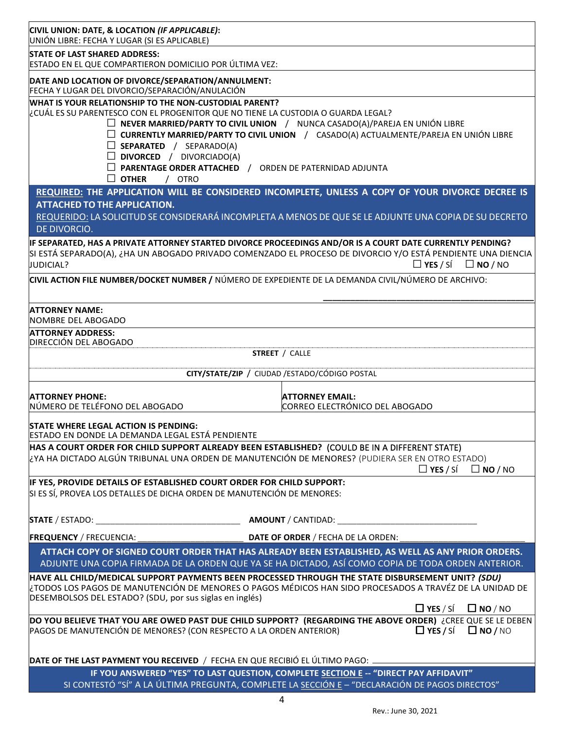| CIVIL UNION: DATE, & LOCATION (IF APPLICABLE):<br>UNIÓN LIBRE: FECHA Y LUGAR (SI ES APLICABLE)                                              |                                                                                                                                                                                                         |
|---------------------------------------------------------------------------------------------------------------------------------------------|---------------------------------------------------------------------------------------------------------------------------------------------------------------------------------------------------------|
| <b>STATE OF LAST SHARED ADDRESS:</b><br>ESTADO EN EL QUE COMPARTIERON DOMICILIO POR ÚLTIMA VEZ:                                             |                                                                                                                                                                                                         |
| DATE AND LOCATION OF DIVORCE/SEPARATION/ANNULMENT:                                                                                          |                                                                                                                                                                                                         |
| FECHA Y LUGAR DEL DIVORCIO/SEPARACIÓN/ANULACIÓN                                                                                             |                                                                                                                                                                                                         |
| WHAT IS YOUR RELATIONSHIP TO THE NON-CUSTODIAL PARENT?<br>¿CUÁL ES SU PARENTESCO CON EL PROGENITOR QUE NO TIENE LA CUSTODIA O GUARDA LEGAL? |                                                                                                                                                                                                         |
|                                                                                                                                             | $\Box$ NEVER MARRIED/PARTY TO CIVIL UNION / NUNCA CASADO(A)/PAREJA EN UNIÓN LIBRE                                                                                                                       |
| $\Box$ SEPARATED / SEPARADO(A)                                                                                                              | □ CURRENTLY MARRIED/PARTY TO CIVIL UNION / CASADO(A) ACTUALMENTE/PAREJA EN UNIÓN LIBRE                                                                                                                  |
| $\Box$ DIVORCED / DIVORCIADO(A)                                                                                                             |                                                                                                                                                                                                         |
| $\Box$ PARENTAGE ORDER ATTACHED / ORDEN DE PATERNIDAD ADJUNTA                                                                               |                                                                                                                                                                                                         |
| $\Box$ OTHER<br>/ OTRO                                                                                                                      |                                                                                                                                                                                                         |
| <b>ATTACHED TO THE APPLICATION.</b>                                                                                                         | REQUIRED: THE APPLICATION WILL BE CONSIDERED INCOMPLETE, UNLESS A COPY OF YOUR DIVORCE DECREE IS                                                                                                        |
|                                                                                                                                             | REQUERIDO: LA SOLICITUD SE CONSIDERARÁ INCOMPLETA A MENOS DE QUE SE LE ADJUNTE UNA COPIA DE SU DECRETO                                                                                                  |
| DE DIVORCIO.                                                                                                                                |                                                                                                                                                                                                         |
|                                                                                                                                             | IF SEPARATED, HAS A PRIVATE ATTORNEY STARTED DIVORCE PROCEEDINGS AND/OR IS A COURT DATE CURRENTLY PENDING?                                                                                              |
| JUDICIAL?                                                                                                                                   | SI ESTÁ SEPARADO(A), ¿HA UN ABOGADO PRIVADO COMENZADO EL PROCESO DE DIVORCIO Y/O ESTÁ PENDIENTE UNA DIENCIA<br>$\Box$ YES / SÍ $\Box$ NO / NO                                                           |
| CIVIL ACTION FILE NUMBER/DOCKET NUMBER / NÚMERO DE EXPEDIENTE DE LA DEMANDA CIVIL/NÚMERO DE ARCHIVO:                                        |                                                                                                                                                                                                         |
|                                                                                                                                             |                                                                                                                                                                                                         |
| <b>ATTORNEY NAME:</b><br>NOMBRE DEL ABOGADO                                                                                                 |                                                                                                                                                                                                         |
| <b>ATTORNEY ADDRESS:</b>                                                                                                                    |                                                                                                                                                                                                         |
| DIRECCIÓN DEL ABOGADO                                                                                                                       | <b>STREET / CALLE</b>                                                                                                                                                                                   |
|                                                                                                                                             |                                                                                                                                                                                                         |
|                                                                                                                                             | CITY/STATE/ZIP / CIUDAD / ESTADO/CÓDIGO POSTAL                                                                                                                                                          |
| <b>ATTORNEY PHONE:</b>                                                                                                                      | <b>ATTORNEY EMAIL:</b>                                                                                                                                                                                  |
| NÚMERO DE TELÉFONO DEL ABOGADO                                                                                                              | CORREO ELECTRÓNICO DEL ABOGADO                                                                                                                                                                          |
| STATE WHERE LEGAL ACTION IS PENDING:<br>ESTADO EN DONDE LA DEMANDA LEGAL ESTÁ PENDIENTE                                                     |                                                                                                                                                                                                         |
| HAS A COURT ORDER FOR CHILD SUPPORT ALREADY BEEN ESTABLISHED? (COULD BE IN A DIFFERENT STATE)                                               |                                                                                                                                                                                                         |
| (PUDIERA SER EN OTRO ESTADO) (2YA HA DICTADO ALGÚN TRIBUNAL UNA ORDEN DE MANUTENCIÓN DE MENORES? (PUDIERA SER EN OTRO ESTADO                | $\Box$ YES / SÍ $\Box$ NO / NO                                                                                                                                                                          |
| IF YES, PROVIDE DETAILS OF ESTABLISHED COURT ORDER FOR CHILD SUPPORT:                                                                       |                                                                                                                                                                                                         |
| SI ES SÍ, PROVEA LOS DETALLES DE DICHA ORDEN DE MANUTENCIÓN DE MENORES:                                                                     |                                                                                                                                                                                                         |
|                                                                                                                                             |                                                                                                                                                                                                         |
|                                                                                                                                             |                                                                                                                                                                                                         |
| <b>FREQUENCY / FRECUENCIA:</b>                                                                                                              | DATE OF ORDER / FECHA DE LA ORDEN:                                                                                                                                                                      |
|                                                                                                                                             | ATTACH COPY OF SIGNED COURT ORDER THAT HAS ALREADY BEEN ESTABLISHED, AS WELL AS ANY PRIOR ORDERS.<br>ADJUNTE UNA COPIA FIRMADA DE LA ORDEN QUE YA SE HA DICTADO, ASÍ COMO COPIA DE TODA ORDEN ANTERIOR. |
|                                                                                                                                             | HAVE ALL CHILD/MEDICAL SUPPORT PAYMENTS BEEN PROCESSED THROUGH THE STATE DISBURSEMENT UNIT? (SDU)                                                                                                       |
| DESEMBOLSOS DEL ESTADO? (SDU, por sus siglas en inglés)                                                                                     | TODOS LOS PAGOS DE MANUTENCIÓN DE MENORES O PAGOS MÉDICOS HAN SIDO PROCESADOS A TRAVÉZ DE LA UNIDAD DE                                                                                                  |
|                                                                                                                                             | $\Box$ YES / SÍ<br>$\square$ NO / NO<br>DO YOU BELIEVE THAT YOU ARE OWED PAST DUE CHILD SUPPORT? (REGARDING THE ABOVE ORDER) ¿CREE QUE SE LE DEBEN                                                      |
| PAGOS DE MANUTENCIÓN DE MENORES? (CON RESPECTO A LA ORDEN ANTERIOR)                                                                         | $\Box$ YES / SÍ $\Box$ NO / NO                                                                                                                                                                          |
| DATE OF THE LAST PAYMENT YOU RECEIVED / FECHA EN QUE RECIBIÓ EL ÚLTIMO PAGO:                                                                |                                                                                                                                                                                                         |
|                                                                                                                                             | IF YOU ANSWERED "YES" TO LAST QUESTION, COMPLETE SECTION E -- "DIRECT PAY AFFIDAVIT"                                                                                                                    |
|                                                                                                                                             | SI CONTESTÓ "SÍ" A LA ÚLTIMA PREGUNTA, COMPLETE LA SECCIÓN E - "DECLARACIÓN DE PAGOS DIRECTOS"                                                                                                          |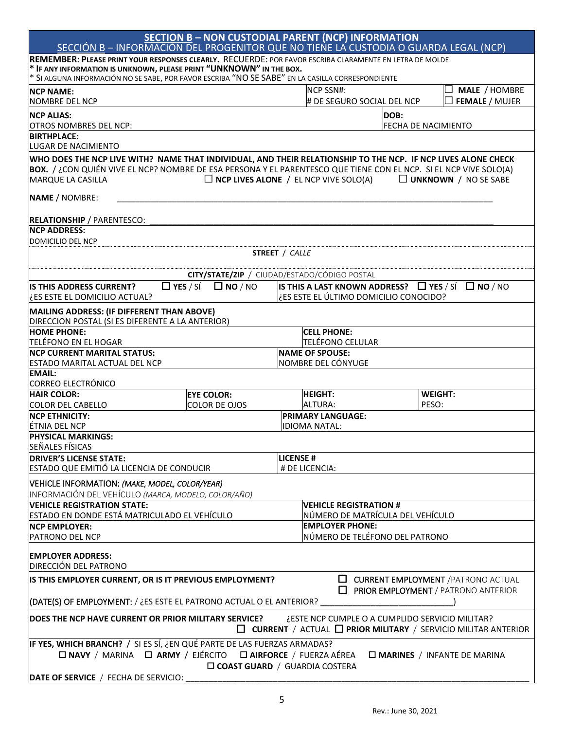| SECCIÓN B - INFORMACIÓN DEL PROGENITOR QUE NO TIENE LA CUSTODIA O GUARDA LEGAL (NCP)                                                                                                                                                                           |                                    | <b>SECTION B - NON CUSTODIAL PARENT (NCP) INFORMATION</b>                                              |                                    |                       |
|----------------------------------------------------------------------------------------------------------------------------------------------------------------------------------------------------------------------------------------------------------------|------------------------------------|--------------------------------------------------------------------------------------------------------|------------------------------------|-----------------------|
| REMEMBER: PLEASE PRINT YOUR RESPONSES CLEARLY. RECUERDE: POR FAVOR ESCRIBA CLARAMENTE EN LETRA DE MOLDE                                                                                                                                                        |                                    |                                                                                                        |                                    |                       |
| * IF ANY INFORMATION IS UNKNOWN, PLEASE PRINT "UNKNOWN" IN THE BOX.                                                                                                                                                                                            |                                    |                                                                                                        |                                    |                       |
| * SI ALGUNA INFORMACIÓN NO SE SABE, POR FAVOR ESCRIBA "NO SE SABE" EN LA CASILLA CORRESPONDIENTE                                                                                                                                                               |                                    |                                                                                                        |                                    |                       |
| <b>NCP NAME:</b>                                                                                                                                                                                                                                               |                                    | <b>NCP SSN#:</b>                                                                                       |                                    | $\Box$ MALE / HOMBRE  |
| <b>NOMBRE DEL NCP</b>                                                                                                                                                                                                                                          |                                    | # DE SEGURO SOCIAL DEL NCP                                                                             |                                    | $\Box$ FEMALE / MUJER |
| <b>NCP ALIAS:</b><br>OTROS NOMBRES DEL NCP:                                                                                                                                                                                                                    |                                    |                                                                                                        | DOB:<br><b>FECHA DE NACIMIENTO</b> |                       |
| <b>BIRTHPLACE:</b>                                                                                                                                                                                                                                             |                                    |                                                                                                        |                                    |                       |
| LUGAR DE NACIMIENTO                                                                                                                                                                                                                                            |                                    |                                                                                                        |                                    |                       |
| WHO DOES THE NCP LIVE WITH? NAME THAT INDIVIDUAL, AND THEIR RELATIONSHIP TO THE NCP. IF NCP LIVES ALONE CHECK<br>BOX. / ¿CON QUIÉN VIVE EL NCP? NOMBRE DE ESA PERSONA Y EL PARENTESCO QUE TIENE CON EL NCP. SI EL NCP VIVE SOLO(A)<br><b>MARQUE LA CASILLA</b> |                                    | $\Box$ NCP LIVES ALONE / EL NCP VIVE SOLO(A) $\Box$ UNKNOWN / NO SE SABE                               |                                    |                       |
| <b>NAME / NOMBRE:</b>                                                                                                                                                                                                                                          |                                    |                                                                                                        |                                    |                       |
| <b>RELATIONSHIP</b> / PARENTESCO:<br><b>NCP ADDRESS:</b>                                                                                                                                                                                                       |                                    |                                                                                                        |                                    |                       |
| DOMICILIO DEL NCP                                                                                                                                                                                                                                              |                                    |                                                                                                        |                                    |                       |
|                                                                                                                                                                                                                                                                |                                    | <b>STREET / CALLE</b>                                                                                  |                                    |                       |
|                                                                                                                                                                                                                                                                |                                    |                                                                                                        |                                    |                       |
|                                                                                                                                                                                                                                                                |                                    | CITY/STATE/ZIP / CIUDAD/ESTADO/CÓDIGO POSTAL                                                           |                                    |                       |
| <b>IS THIS ADDRESS CURRENT?</b><br>LES ESTE EL DOMICILIO ACTUAL?                                                                                                                                                                                               | $\Box$ YES / SÍ $\Box$ NO / NO     | IS THIS A LAST KNOWN ADDRESS? $\Box$ YES / SI $\Box$ NO / NO<br>¿ES ESTE EL ÚLTIMO DOMICILIO CONOCIDO? |                                    |                       |
| MAILING ADDRESS: (IF DIFFERENT THAN ABOVE)<br>DIRECCION POSTAL (SI ES DIFERENTE A LA ANTERIOR)                                                                                                                                                                 |                                    |                                                                                                        |                                    |                       |
| <b>HOME PHONE:</b>                                                                                                                                                                                                                                             |                                    | <b>CELL PHONE:</b>                                                                                     |                                    |                       |
| TELÉFONO EN EL HOGAR                                                                                                                                                                                                                                           |                                    | <b>TELÉFONO CELULAR</b>                                                                                |                                    |                       |
| <b>NCP CURRENT MARITAL STATUS:</b><br><b>ESTADO MARITAL ACTUAL DEL NCP</b>                                                                                                                                                                                     |                                    | <b>NAME OF SPOUSE:</b><br>NOMBRE DEL CÓNYUGE                                                           |                                    |                       |
| <b>EMAIL:</b>                                                                                                                                                                                                                                                  |                                    |                                                                                                        |                                    |                       |
| CORREO ELECTRÓNICO                                                                                                                                                                                                                                             |                                    |                                                                                                        |                                    |                       |
| <b>HAIR COLOR:</b><br><b>COLOR DEL CABELLO</b>                                                                                                                                                                                                                 | <b>EYE COLOR:</b><br>COLOR DE OJOS | <b>HEIGHT:</b><br><b>ALTURA:</b>                                                                       | <b>WEIGHT:</b><br>PFSO:            |                       |
| <b>NCP ETHNICITY:</b>                                                                                                                                                                                                                                          |                                    | <b>PRIMARY LANGUAGE:</b>                                                                               |                                    |                       |
| ÉTNIA DEL NCP                                                                                                                                                                                                                                                  |                                    | <b>IDIOMA NATAL:</b>                                                                                   |                                    |                       |
| <b>PHYSICAL MARKINGS:</b>                                                                                                                                                                                                                                      |                                    |                                                                                                        |                                    |                       |
| <b>SEÑALES FÍSICAS</b>                                                                                                                                                                                                                                         |                                    |                                                                                                        |                                    |                       |
| <b>DRIVER'S LICENSE STATE:</b>                                                                                                                                                                                                                                 |                                    | <b>LICENSE#</b>                                                                                        |                                    |                       |
| ESTADO QUE EMITIÓ LA LICENCIA DE CONDUCIR                                                                                                                                                                                                                      |                                    | # DE LICENCIA:                                                                                         |                                    |                       |
| VEHICLE INFORMATION: (MAKE, MODEL, COLOR/YEAR)<br>INFORMACIÓN DEL VEHÍCULO (MARCA, MODELO, COLOR/AÑO)                                                                                                                                                          |                                    |                                                                                                        |                                    |                       |
| <b>VEHICLE REGISTRATION STATE:</b>                                                                                                                                                                                                                             |                                    | <b>VEHICLE REGISTRATION #</b>                                                                          |                                    |                       |
| ESTADO EN DONDE ESTÁ MATRICULADO EL VEHÍCULO                                                                                                                                                                                                                   |                                    | NÚMERO DE MATRÍCULA DEL VEHÍCULO                                                                       |                                    |                       |
| <b>NCP EMPLOYER:</b>                                                                                                                                                                                                                                           |                                    | <b>EMPLOYER PHONE:</b>                                                                                 |                                    |                       |
| PATRONO DEL NCP                                                                                                                                                                                                                                                |                                    | NÚMERO DE TELÉFONO DEL PATRONO                                                                         |                                    |                       |
| <b>EMPLOYER ADDRESS:</b><br>DIRECCIÓN DEL PATRONO                                                                                                                                                                                                              |                                    |                                                                                                        |                                    |                       |
| IS THIS EMPLOYER CURRENT, OR IS IT PREVIOUS EMPLOYMENT?<br>$\Box$ CURRENT EMPLOYMENT / PATRONO ACTUAL<br>$\Box$<br>PRIOR EMPLOYMENT / PATRONO ANTERIOR                                                                                                         |                                    |                                                                                                        |                                    |                       |
| ((DATE(S) OF EMPLOYMENT: / ¿ES ESTE EL PATRONO ACTUAL O EL ANTERIOR?                                                                                                                                                                                           |                                    |                                                                                                        |                                    |                       |
| ¿ESTE NCP CUMPLE O A CUMPLIDO SERVICIO MILITAR?<br>DOES THE NCP HAVE CURRENT OR PRIOR MILITARY SERVICE?<br>$\Box$ CURRENT / ACTUAL $\Box$ PRIOR MILITARY / SERVICIO MILITAR ANTERIOR                                                                           |                                    |                                                                                                        |                                    |                       |
| IF YES, WHICH BRANCH? / SI ES SÍ, ¿EN QUÉ PARTE DE LAS FUERZAS ARMADAS?                                                                                                                                                                                        |                                    |                                                                                                        |                                    |                       |
| □ NAVY / MARINA □ ARMY / EJÉRCITO □ AIRFORCE / FUERZA AÉREA<br>$\square$ MARINES / INFANTE DE MARINA<br><b>COAST GUARD</b> / GUARDIA COSTERA                                                                                                                   |                                    |                                                                                                        |                                    |                       |
| DATE OF SERVICE / FECHA DE SERVICIO:                                                                                                                                                                                                                           |                                    |                                                                                                        |                                    |                       |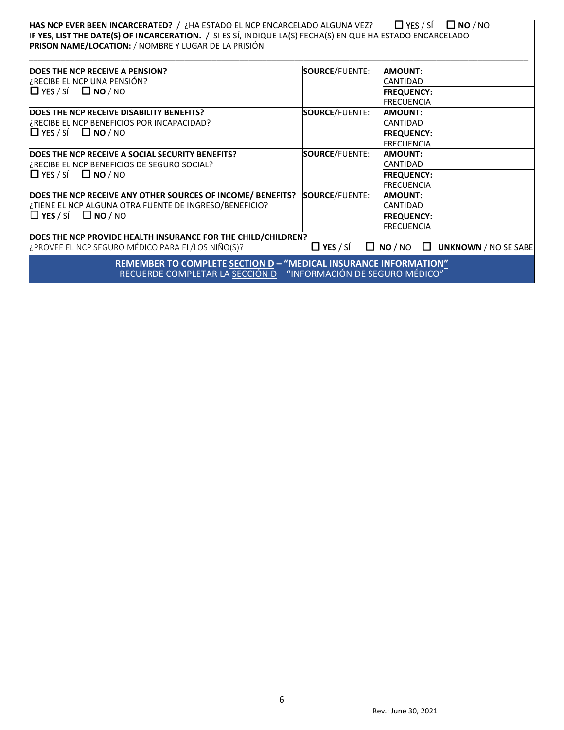|                                                                                                                                                                                           |                       | $\Box$ YES / SÍ<br>$\Box$ NO $/$ NO        |
|-------------------------------------------------------------------------------------------------------------------------------------------------------------------------------------------|-----------------------|--------------------------------------------|
| HAS NCP EVER BEEN INCARCERATED? / ¿HA ESTADO EL NCP ENCARCELADO ALGUNA VEZ?<br>IF YES, LIST THE DATE(S) OF INCARCERATION. / SI ES SÍ, INDIQUE LA(S) FECHA(S) EN QUE HA ESTADO ENCARCELADO |                       |                                            |
| PRISON NAME/LOCATION: / NOMBRE Y LUGAR DE LA PRISIÓN                                                                                                                                      |                       |                                            |
|                                                                                                                                                                                           |                       |                                            |
|                                                                                                                                                                                           |                       |                                            |
| DOES THE NCP RECEIVE A PENSION?                                                                                                                                                           | <b>SOURCE/FUENTE:</b> | <b>AMOUNT:</b>                             |
| ¿RECIBE EL NCP UNA PENSIÓN?                                                                                                                                                               |                       | <b>CANTIDAD</b>                            |
| $\Box$ YES / SÍ $\Box$ NO / NO                                                                                                                                                            |                       | <b>FREQUENCY:</b>                          |
|                                                                                                                                                                                           |                       | <b>FRECUENCIA</b>                          |
| DOES THE NCP RECEIVE DISABILITY BENEFITS?                                                                                                                                                 | <b>SOURCE/FUENTE:</b> | <b>AMOUNT:</b>                             |
| ERECIBE EL NCP BENEFICIOS POR INCAPACIDAD?                                                                                                                                                |                       | <b>CANTIDAD</b>                            |
| $\Box$ YES / SÍ $\Box$ NO / NO                                                                                                                                                            |                       | <b>FREQUENCY:</b>                          |
|                                                                                                                                                                                           |                       | <b>FRECUENCIA</b>                          |
| DOES THE NCP RECEIVE A SOCIAL SECURITY BENEFITS?                                                                                                                                          | <b>SOURCE/FUENTE:</b> | AMOUNT:                                    |
| FRECIBE EL NCP BENEFICIOS DE SEGURO SOCIAL?                                                                                                                                               |                       | <b>CANTIDAD</b>                            |
| $\Box$ YES / SÍ $\Box$ NO / NO                                                                                                                                                            |                       | <b>FREQUENCY:</b>                          |
|                                                                                                                                                                                           |                       | <b>FRECUENCIA</b>                          |
| DOES THE NCP RECEIVE ANY OTHER SOURCES OF INCOME/ BENEFITS?                                                                                                                               | <b>SOURCE/FUENTE:</b> | <b>AMOUNT:</b>                             |
| ¿TIENE EL NCP ALGUNA OTRA FUENTE DE INGRESO/BENEFICIO?                                                                                                                                    |                       | <b>CANTIDAD</b>                            |
| $\Box$ YES / SÍ $\Box$ NO / NO                                                                                                                                                            |                       | <b>FREQUENCY:</b>                          |
|                                                                                                                                                                                           |                       | <b>FRECUENCIA</b>                          |
| DOES THE NCP PROVIDE HEALTH INSURANCE FOR THE CHILD/CHILDREN?                                                                                                                             |                       |                                            |
| ¿PROVEE EL NCP SEGURO MÉDICO PARA EL/LOS NIÑO(S)?                                                                                                                                         | $\Box$ YES / SÍ       | $\Box$ NO / NO $\Box$ UNKNOWN / NO SE SABE |
| REMEMBER TO COMPLETE SECTION D - "MEDICAL INSURANCE INFORMATION"                                                                                                                          |                       |                                            |
| RECUERDE COMPLETAR LA SECCIÓN D - "INFORMACIÓN DE SEGURO MÉDICO"                                                                                                                          |                       |                                            |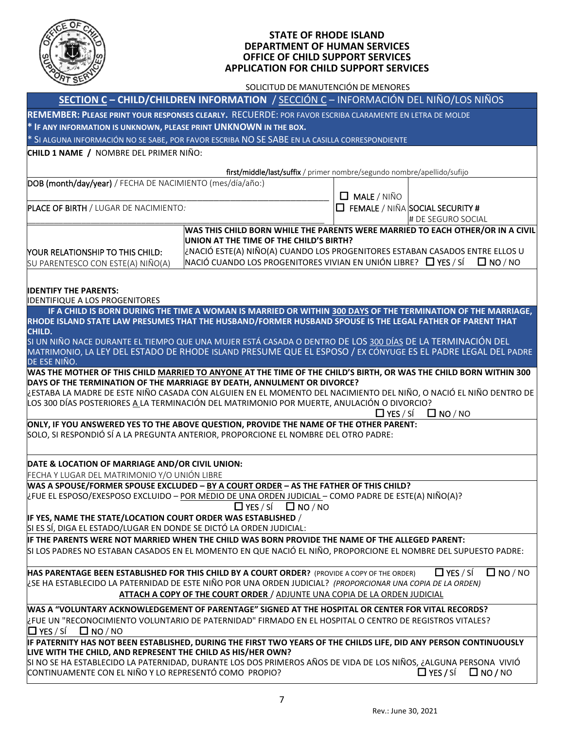

#### **STATE OF RHODE ISLAND DEPARTMENT OF HUMAN SERVICES OFFICE OF CHILD SUPPORT SERVICES APPLICATION FOR CHILD SUPPORT SERVICES**

SOLICITUD DE MANUTENCIÓN DE MENORES

| SECTION C - CHILD/CHILDREN INFORMATION / SECCIÓN C - INFORMACIÓN DEL NIÑO/LOS NIÑOS                                                                                                          |                                                                                                              |                    |                                        |  |  |
|----------------------------------------------------------------------------------------------------------------------------------------------------------------------------------------------|--------------------------------------------------------------------------------------------------------------|--------------------|----------------------------------------|--|--|
| REMEMBER: PLEASE PRINT YOUR RESPONSES CLEARLY. RECUERDE: POR FAVOR ESCRIBA CLARAMENTE EN LETRA DE MOLDE                                                                                      |                                                                                                              |                    |                                        |  |  |
| * IF ANY INFORMATION IS UNKNOWN, PLEASE PRINT UNKNOWN IN THE BOX.                                                                                                                            |                                                                                                              |                    |                                        |  |  |
| * SI ALGUNA INFORMACIÓN NO SE SABE, POR FAVOR ESCRIBA NO SE SABE EN LA CASILLA CORRESPONDIENTE                                                                                               |                                                                                                              |                    |                                        |  |  |
| CHILD 1 NAME / NOMBRE DEL PRIMER NIÑO:                                                                                                                                                       |                                                                                                              |                    |                                        |  |  |
|                                                                                                                                                                                              | first/middle/last/suffix / primer nombre/segundo nombre/apellido/sufijo                                      |                    |                                        |  |  |
| DOB (month/day/year) / FECHA DE NACIMIENTO (mes/día/año:)                                                                                                                                    |                                                                                                              |                    |                                        |  |  |
|                                                                                                                                                                                              |                                                                                                              | $\Box$ MALE / NIÑO |                                        |  |  |
| PLACE OF BIRTH / LUGAR DE NACIMIENTO:                                                                                                                                                        |                                                                                                              |                    | $\Box$ FEMALE / NIÑA SOCIAL SECURITY # |  |  |
|                                                                                                                                                                                              |                                                                                                              |                    | # DE SEGURO SOCIAL                     |  |  |
|                                                                                                                                                                                              | WAS THIS CHILD BORN WHILE THE PARENTS WERE MARRIED TO EACH OTHER/OR IN A CIVIL                               |                    |                                        |  |  |
|                                                                                                                                                                                              | UNION AT THE TIME OF THE CHILD'S BIRTH?                                                                      |                    |                                        |  |  |
| YOUR RELATIONSHIP TO THIS CHILD:                                                                                                                                                             | ن NACIÓ ESTE(A) NIÑO(A) CUANDO LOS PROGENITORES ESTABAN CASADOS ENTRE ELLOS U                                |                    |                                        |  |  |
| SU PARENTESCO CON ESTE(A) NIÑO(A)                                                                                                                                                            | NACIÓ CUANDO LOS PROGENITORES VIVIAN EN UNIÓN LIBRE? $\Box$ YES / SÍ                                         |                    | $\Box$ NO / NO                         |  |  |
|                                                                                                                                                                                              |                                                                                                              |                    |                                        |  |  |
| <b>IDENTIFY THE PARENTS:</b>                                                                                                                                                                 |                                                                                                              |                    |                                        |  |  |
| <b>IDENTIFIQUE A LOS PROGENITORES</b>                                                                                                                                                        |                                                                                                              |                    |                                        |  |  |
| RHODE ISLAND STATE LAW PRESUMES THAT THE HUSBAND/FORMER HUSBAND SPOUSE IS THE LEGAL FATHER OF PARENT THAT                                                                                    | IF A CHILD IS BORN DURING THE TIME A WOMAN IS MARRIED OR WITHIN 300 DAYS OF THE TERMINATION OF THE MARRIAGE, |                    |                                        |  |  |
| CHILD.                                                                                                                                                                                       |                                                                                                              |                    |                                        |  |  |
| SI UN NIÑO NACE DURANTE EL TIEMPO QUE UNA MUJER ESTÁ CASADA O DENTRO DE LOS 300 DÍAS DE LA TERMINACIÓN DEL                                                                                   |                                                                                                              |                    |                                        |  |  |
| MATRIMONIO, LA LEY DEL ESTADO DE RHODE ISLAND PRESUME QUE EL ESPOSO / EX CÓNYUGE ES EL PADRE LEGAL DEL PADRE                                                                                 |                                                                                                              |                    |                                        |  |  |
| DE ESE NIÑO.                                                                                                                                                                                 |                                                                                                              |                    |                                        |  |  |
| WAS THE MOTHER OF THIS CHILD MARRIED TO ANYONE AT THE TIME OF THE CHILD'S BIRTH, OR WAS THE CHILD BORN WITHIN 300<br>DAYS OF THE TERMINATION OF THE MARRIAGE BY DEATH, ANNULMENT OR DIVORCE? |                                                                                                              |                    |                                        |  |  |
| ¿ESTABA LA MADRE DE ESTE NIÑO CASADA CON ALGUIEN EN EL MOMENTO DEL NACIMIENTO DEL NIÑO, O NACIÓ EL NIÑO DENTRO DE                                                                            |                                                                                                              |                    |                                        |  |  |
| LOS 300 DÍAS POSTERIORES A LA TERMINACIÓN DEL MATRIMONIO POR MUERTE, ANULACIÓN O DIVORCIO?                                                                                                   |                                                                                                              |                    |                                        |  |  |
|                                                                                                                                                                                              |                                                                                                              | $\Box$ YES / SÍ    | $\Box$ NO / NO                         |  |  |
| ONLY, IF YOU ANSWERED YES TO THE ABOVE QUESTION, PROVIDE THE NAME OF THE OTHER PARENT:                                                                                                       |                                                                                                              |                    |                                        |  |  |
| SOLO, SI RESPONDIÓ SÍ A LA PREGUNTA ANTERIOR, PROPORCIONE EL NOMBRE DEL OTRO PADRE:                                                                                                          |                                                                                                              |                    |                                        |  |  |
|                                                                                                                                                                                              |                                                                                                              |                    |                                        |  |  |
| DATE & LOCATION OF MARRIAGE AND/OR CIVIL UNION:                                                                                                                                              |                                                                                                              |                    |                                        |  |  |
| FECHA Y LUGAR DEL MATRIMONIO Y/O UNIÓN LIBRE                                                                                                                                                 |                                                                                                              |                    |                                        |  |  |
| WAS A SPOUSE/FORMER SPOUSE EXCLUDED - BY A COURT ORDER - AS THE FATHER OF THIS CHILD?                                                                                                        |                                                                                                              |                    |                                        |  |  |
| ¿FUE EL ESPOSO/EXESPOSO EXCLUIDO - POR MEDIO DE UNA ORDEN JUDICIAL - COMO PADRE DE ESTE(A) NIÑO(A)?                                                                                          | $\Box$ YES / SÍ $\Box$ NO / NO                                                                               |                    |                                        |  |  |
| IF YES, NAME THE STATE/LOCATION COURT ORDER WAS ESTABLISHED /                                                                                                                                |                                                                                                              |                    |                                        |  |  |
| SI ES SÍ, DIGA EL ESTADO/LUGAR EN DONDE SE DICTÓ LA ORDEN JUDICIAL:                                                                                                                          |                                                                                                              |                    |                                        |  |  |
| IF THE PARENTS WERE NOT MARRIED WHEN THE CHILD WAS BORN PROVIDE THE NAME OF THE ALLEGED PARENT:                                                                                              |                                                                                                              |                    |                                        |  |  |
| SI LOS PADRES NO ESTABAN CASADOS EN EL MOMENTO EN QUE NACIÓ EL NIÑO, PROPORCIONE EL NOMBRE DEL SUPUESTO PADRE:                                                                               |                                                                                                              |                    |                                        |  |  |
|                                                                                                                                                                                              |                                                                                                              |                    |                                        |  |  |
| $\Box$ YES / SÍ<br>$\Box$ NO / NO<br>HAS PARENTAGE BEEN ESTABLISHED FOR THIS CHILD BY A COURT ORDER? (PROVIDE A COPY OF THE ORDER)                                                           |                                                                                                              |                    |                                        |  |  |
| ¿SE HA ESTABLECIDO LA PATERNIDAD DE ESTE NIÑO POR UNA ORDEN JUDICIAL? (PROPORCIONAR UNA COPIA DE LA ORDEN)<br>ATTACH A COPY OF THE COURT ORDER / ADJUNTE UNA COPIA DE LA ORDEN JUDICIAL      |                                                                                                              |                    |                                        |  |  |
|                                                                                                                                                                                              |                                                                                                              |                    |                                        |  |  |
| WAS A "VOLUNTARY ACKNOWLEDGEMENT OF PARENTAGE" SIGNED AT THE HOSPITAL OR CENTER FOR VITAL RECORDS?                                                                                           |                                                                                                              |                    |                                        |  |  |
| ¿FUE UN "RECONOCIMIENTO VOLUNTARIO DE PATERNIDAD" FIRMADO EN EL HOSPITAL O CENTRO DE REGISTROS VITALES?                                                                                      |                                                                                                              |                    |                                        |  |  |
| $\Box$ YES / SÍ<br>$\square$ NO / NO<br>IF PATERNITY HAS NOT BEEN ESTABLISHED, DURING THE FIRST TWO YEARS OF THE CHILDS LIFE, DID ANY PERSON CONTINUOUSLY                                    |                                                                                                              |                    |                                        |  |  |
| LIVE WITH THE CHILD, AND REPRESENT THE CHILD AS HIS/HER OWN?                                                                                                                                 |                                                                                                              |                    |                                        |  |  |
| SI NO SE HA ESTABLECIDO LA PATERNIDAD, DURANTE LOS DOS PRIMEROS AÑOS DE VIDA DE LOS NIÑOS, ¿ALGUNA PERSONA VIVIÓ                                                                             |                                                                                                              |                    |                                        |  |  |
| CONTINUAMENTE CON EL NIÑO Y LO REPRESENTÓ COMO PROPIO?<br>$\Box$ YES / SÍ<br>$\Box$ NO / NO                                                                                                  |                                                                                                              |                    |                                        |  |  |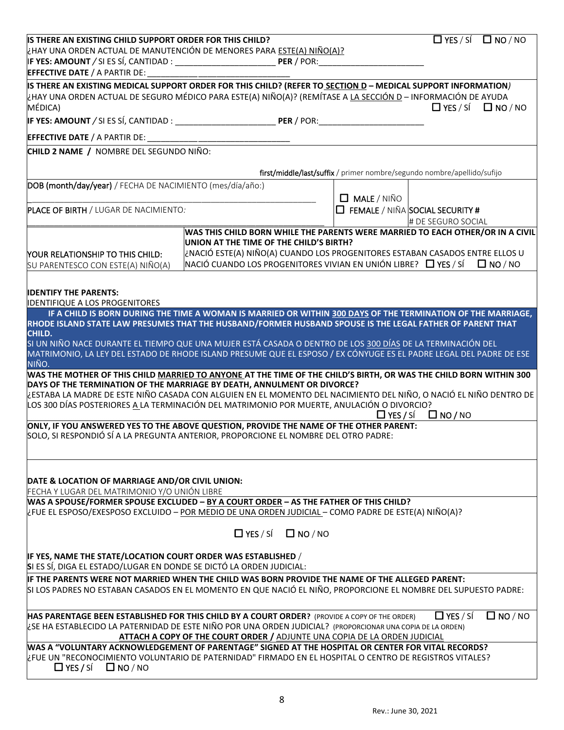| IS THERE AN EXISTING CHILD SUPPORT ORDER FOR THIS CHILD?                                                                                                                                                                      | $\Box$ YES / SÍ $\Box$ NO / NO                                                                                                                                                                                    |                    |                                                                         |  |  |
|-------------------------------------------------------------------------------------------------------------------------------------------------------------------------------------------------------------------------------|-------------------------------------------------------------------------------------------------------------------------------------------------------------------------------------------------------------------|--------------------|-------------------------------------------------------------------------|--|--|
| ¿HAY UNA ORDEN ACTUAL DE MANUTENCIÓN DE MENORES PARA ESTE(A) NIÑO(A)?                                                                                                                                                         |                                                                                                                                                                                                                   |                    |                                                                         |  |  |
|                                                                                                                                                                                                                               |                                                                                                                                                                                                                   |                    |                                                                         |  |  |
| <b>EFFECTIVE DATE / A PARTIR DE:</b>                                                                                                                                                                                          |                                                                                                                                                                                                                   |                    |                                                                         |  |  |
| IS THERE AN EXISTING MEDICAL SUPPORT ORDER FOR THIS CHILD? (REFER TO SECTION D - MEDICAL SUPPORT INFORMATION)<br>¿HAY UNA ORDEN ACTUAL DE SEGURO MÉDICO PARA ESTE(A) NIÑO(A)? (REMÍTASE A LA SECCIÓN D - INFORMACIÓN DE AYUDA |                                                                                                                                                                                                                   |                    |                                                                         |  |  |
| MÉDICA)                                                                                                                                                                                                                       |                                                                                                                                                                                                                   |                    | $\Box$ YES / SÍ<br>$\square$ NO / NO                                    |  |  |
|                                                                                                                                                                                                                               |                                                                                                                                                                                                                   |                    |                                                                         |  |  |
|                                                                                                                                                                                                                               |                                                                                                                                                                                                                   |                    |                                                                         |  |  |
| <b>EFFECTIVE DATE / A PARTIR DE:</b>                                                                                                                                                                                          |                                                                                                                                                                                                                   |                    |                                                                         |  |  |
| CHILD 2 NAME / NOMBRE DEL SEGUNDO NIÑO:                                                                                                                                                                                       |                                                                                                                                                                                                                   |                    |                                                                         |  |  |
|                                                                                                                                                                                                                               |                                                                                                                                                                                                                   |                    | first/middle/last/suffix / primer nombre/segundo nombre/apellido/sufijo |  |  |
| DOB (month/day/year) / FECHA DE NACIMIENTO (mes/día/año:)                                                                                                                                                                     |                                                                                                                                                                                                                   |                    |                                                                         |  |  |
|                                                                                                                                                                                                                               |                                                                                                                                                                                                                   | $\Box$ MALE / NIÑO |                                                                         |  |  |
| PLACE OF BIRTH / LUGAR DE NACIMIENTO:                                                                                                                                                                                         |                                                                                                                                                                                                                   |                    | $\Box$ FEMALE / NIÑA SOCIAL SECURITY #                                  |  |  |
|                                                                                                                                                                                                                               |                                                                                                                                                                                                                   |                    | # DE SEGURO SOCIAL                                                      |  |  |
|                                                                                                                                                                                                                               | WAS THIS CHILD BORN WHILE THE PARENTS WERE MARRIED TO EACH OTHER/OR IN A CIVIL                                                                                                                                    |                    |                                                                         |  |  |
|                                                                                                                                                                                                                               | UNION AT THE TIME OF THE CHILD'S BIRTH?                                                                                                                                                                           |                    |                                                                         |  |  |
| YOUR RELATIONSHIP TO THIS CHILD:                                                                                                                                                                                              | ¿NACIÓ ESTE(A) NIÑO(A) CUANDO LOS PROGENITORES ESTABAN CASADOS ENTRE ELLOS U                                                                                                                                      |                    |                                                                         |  |  |
| SU PARENTESCO CON ESTE(A) NIÑO(A)                                                                                                                                                                                             | NACIÓ CUANDO LOS PROGENITORES VIVIAN EN UNIÓN LIBRE? $\Box$ YES / SÍ $\Box$ NO / NO                                                                                                                               |                    |                                                                         |  |  |
|                                                                                                                                                                                                                               |                                                                                                                                                                                                                   |                    |                                                                         |  |  |
| <b>IDENTIFY THE PARENTS:</b>                                                                                                                                                                                                  |                                                                                                                                                                                                                   |                    |                                                                         |  |  |
| <b>IDENTIFIQUE A LOS PROGENITORES</b>                                                                                                                                                                                         | IF A CHILD IS BORN DURING THE TIME A WOMAN IS MARRIED OR WITHIN 300 DAYS OF THE TERMINATION OF THE MARRIAGE,                                                                                                      |                    |                                                                         |  |  |
| RHODE ISLAND STATE LAW PRESUMES THAT THE HUSBAND/FORMER HUSBAND SPOUSE IS THE LEGAL FATHER OF PARENT THAT                                                                                                                     |                                                                                                                                                                                                                   |                    |                                                                         |  |  |
| CHILD.                                                                                                                                                                                                                        |                                                                                                                                                                                                                   |                    |                                                                         |  |  |
| SI UN NIÑO NACE DURANTE EL TIEMPO QUE UNA MUJER ESTÁ CASADA O DENTRO DE LOS 300 DÍAS DE LA TERMINACIÓN DEL                                                                                                                    |                                                                                                                                                                                                                   |                    |                                                                         |  |  |
| MATRIMONIO, LA LEY DEL ESTADO DE RHODE ISLAND PRESUME QUE EL ESPOSO / EX CÓNYUGE ES EL PADRE LEGAL DEL PADRE DE ESE                                                                                                           |                                                                                                                                                                                                                   |                    |                                                                         |  |  |
| NIÑO.<br>WAS THE MOTHER OF THIS CHILD <u>MARRIED TO ANYONE</u> AT THE TIME OF THE CHILD'S BIRTH, OR WAS THE CHILD BORN WITHIN 300                                                                                             |                                                                                                                                                                                                                   |                    |                                                                         |  |  |
| DAYS OF THE TERMINATION OF THE MARRIAGE BY DEATH, ANNULMENT OR DIVORCE?                                                                                                                                                       |                                                                                                                                                                                                                   |                    |                                                                         |  |  |
| ¿ESTABA LA MADRE DE ESTE NIÑO CASADA CON ALGUIEN EN EL MOMENTO DEL NACIMIENTO DEL NIÑO, O NACIÓ EL NIÑO DENTRO DE                                                                                                             |                                                                                                                                                                                                                   |                    |                                                                         |  |  |
|                                                                                                                                                                                                                               | LOS 300 DÍAS POSTERIORES A LA TERMINACIÓN DEL MATRIMONIO POR MUERTE, ANULACIÓN O DIVORCIO?                                                                                                                        |                    |                                                                         |  |  |
| $\Box$ NO / NO<br>$\Box$ YES / SÍ<br>ONLY, IF YOU ANSWERED YES TO THE ABOVE QUESTION, PROVIDE THE NAME OF THE OTHER PARENT:                                                                                                   |                                                                                                                                                                                                                   |                    |                                                                         |  |  |
| SOLO, SI RESPONDIÓ SÍ A LA PREGUNTA ANTERIOR, PROPORCIONE EL NOMBRE DEL OTRO PADRE:                                                                                                                                           |                                                                                                                                                                                                                   |                    |                                                                         |  |  |
|                                                                                                                                                                                                                               |                                                                                                                                                                                                                   |                    |                                                                         |  |  |
|                                                                                                                                                                                                                               |                                                                                                                                                                                                                   |                    |                                                                         |  |  |
|                                                                                                                                                                                                                               |                                                                                                                                                                                                                   |                    |                                                                         |  |  |
| DATE & LOCATION OF MARRIAGE AND/OR CIVIL UNION:                                                                                                                                                                               |                                                                                                                                                                                                                   |                    |                                                                         |  |  |
| FECHA Y LUGAR DEL MATRIMONIO Y/O UNIÓN LIBRE<br>WAS A SPOUSE/FORMER SPOUSE EXCLUDED - BY A COURT ORDER - AS THE FATHER OF THIS CHILD?                                                                                         |                                                                                                                                                                                                                   |                    |                                                                         |  |  |
| LEUE EL ESPOSO/EXESPOSO EXCLUIDO - <u>POR MEDIO DE UNA ORDEN JUDICIAL</u> - COMO PADRE DE ESTE(A) NIÑO(A)?                                                                                                                    |                                                                                                                                                                                                                   |                    |                                                                         |  |  |
|                                                                                                                                                                                                                               |                                                                                                                                                                                                                   |                    |                                                                         |  |  |
|                                                                                                                                                                                                                               | $\Box$ YES / SÍ $\Box$ NO / NO                                                                                                                                                                                    |                    |                                                                         |  |  |
|                                                                                                                                                                                                                               |                                                                                                                                                                                                                   |                    |                                                                         |  |  |
| IF YES, NAME THE STATE/LOCATION COURT ORDER WAS ESTABLISHED /                                                                                                                                                                 |                                                                                                                                                                                                                   |                    |                                                                         |  |  |
| SI ES SÍ, DIGA EL ESTADO/LUGAR EN DONDE SE DICTÓ LA ORDEN JUDICIAL:                                                                                                                                                           |                                                                                                                                                                                                                   |                    |                                                                         |  |  |
|                                                                                                                                                                                                                               | IF THE PARENTS WERE NOT MARRIED WHEN THE CHILD WAS BORN PROVIDE THE NAME OF THE ALLEGED PARENT:<br>SI LOS PADRES NO ESTABAN CASADOS EN EL MOMENTO EN QUE NACIÓ EL NIÑO, PROPORCIONE EL NOMBRE DEL SUPUESTO PADRE: |                    |                                                                         |  |  |
|                                                                                                                                                                                                                               |                                                                                                                                                                                                                   |                    |                                                                         |  |  |
|                                                                                                                                                                                                                               |                                                                                                                                                                                                                   |                    |                                                                         |  |  |
| HAS PARENTAGE BEEN ESTABLISHED FOR THIS CHILD BY A COURT ORDER? (PROVIDE A COPY OF THE ORDER)<br>¿SE HA ESTABLECIDO LA PATERNIDAD DE ESTE NIÑO POR UNA ORDEN JUDICIAL? (PROPORCIONAR UNA COPIA DE LA ORDEN)                   |                                                                                                                                                                                                                   |                    | $\Box$ NO / NO<br>$\Box$ YES / SÍ                                       |  |  |
|                                                                                                                                                                                                                               | <b>ATTACH A COPY OF THE COURT ORDER / ADJUNTE UNA COPIA DE LA ORDEN JUDICIAL</b>                                                                                                                                  |                    |                                                                         |  |  |
| WAS A "VOLUNTARY ACKNOWLEDGEMENT OF PARENTAGE" SIGNED AT THE HOSPITAL OR CENTER FOR VITAL RECORDS?                                                                                                                            |                                                                                                                                                                                                                   |                    |                                                                         |  |  |
| EFUE UN "RECONOCIMIENTO VOLUNTARIO DE PATERNIDAD" FIRMADO EN EL HOSPITAL O CENTRO DE REGISTROS VITALES?                                                                                                                       |                                                                                                                                                                                                                   |                    |                                                                         |  |  |
| $\Box$ YES / SÍ<br>$\square$ NO / NO                                                                                                                                                                                          |                                                                                                                                                                                                                   |                    |                                                                         |  |  |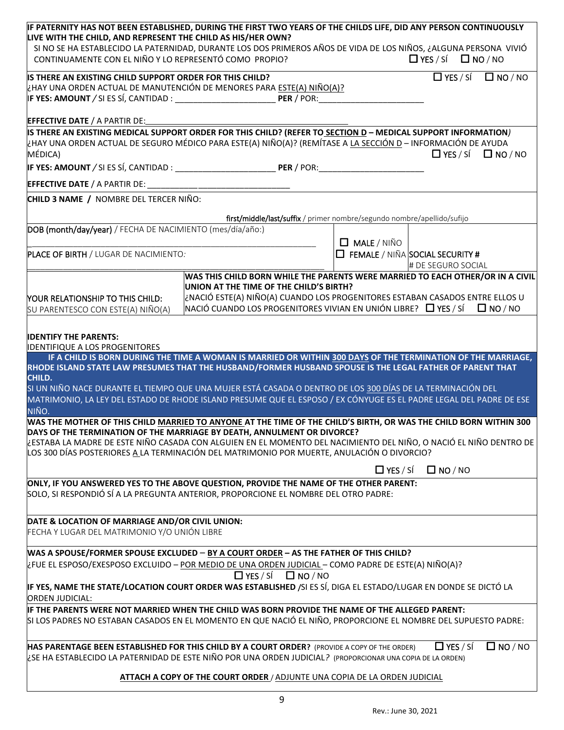| IF PATERNITY HAS NOT BEEN ESTABLISHED, DURING THE FIRST TWO YEARS OF THE CHILDS LIFE, DID ANY PERSON CONTINUOUSLY                                                                                               |                                                                           |                                                                         |                                                                                                      |
|-----------------------------------------------------------------------------------------------------------------------------------------------------------------------------------------------------------------|---------------------------------------------------------------------------|-------------------------------------------------------------------------|------------------------------------------------------------------------------------------------------|
| LIVE WITH THE CHILD, AND REPRESENT THE CHILD AS HIS/HER OWN?<br>SI NO SE HA ESTABLECIDO LA PATERNIDAD, DURANTE LOS DOS PRIMEROS AÑOS DE VIDA DE LOS NIÑOS, ¿ALGUNA PERSONA VIVIÓ                                |                                                                           |                                                                         |                                                                                                      |
| CONTINUAMENTE CON EL NIÑO Y LO REPRESENTÓ COMO PROPIO?                                                                                                                                                          |                                                                           |                                                                         | $\Box$ YES / SÍ $\Box$ NO / NO                                                                       |
|                                                                                                                                                                                                                 |                                                                           |                                                                         |                                                                                                      |
| IS THERE AN EXISTING CHILD SUPPORT ORDER FOR THIS CHILD?<br>¿HAY UNA ORDEN ACTUAL DE MANUTENCIÓN DE MENORES PARA ESTE(A) NIÑO(A)?                                                                               |                                                                           |                                                                         | $\Box$ YES / SÍ<br>$\square$ NO / NO                                                                 |
|                                                                                                                                                                                                                 |                                                                           |                                                                         |                                                                                                      |
|                                                                                                                                                                                                                 |                                                                           |                                                                         |                                                                                                      |
| EFFECTIVE DATE / A PARTIR DE:                                                                                                                                                                                   |                                                                           |                                                                         |                                                                                                      |
| IS THERE AN EXISTING MEDICAL SUPPORT ORDER FOR THIS CHILD? (REFER TO SECTION D - MEDICAL SUPPORT INFORMATION)                                                                                                   |                                                                           |                                                                         |                                                                                                      |
| ¿HAY UNA ORDEN ACTUAL DE SEGURO MÉDICO PARA ESTE(A) NIÑO(A)? (REMÍTASE A <u>LA SECCIÓN D</u> - INFORMACIÓN DE AYUDA<br>MÉDICA)                                                                                  |                                                                           |                                                                         | $\Box$ YES / SÍ $\Box$ NO / NO                                                                       |
|                                                                                                                                                                                                                 |                                                                           |                                                                         |                                                                                                      |
|                                                                                                                                                                                                                 |                                                                           |                                                                         |                                                                                                      |
|                                                                                                                                                                                                                 |                                                                           |                                                                         |                                                                                                      |
| CHILD 3 NAME / NOMBRE DEL TERCER NIÑO:                                                                                                                                                                          |                                                                           |                                                                         |                                                                                                      |
|                                                                                                                                                                                                                 |                                                                           | first/middle/last/suffix / primer nombre/segundo nombre/apellido/sufijo |                                                                                                      |
| DOB (month/day/year) / FECHA DE NACIMIENTO (mes/día/año:)                                                                                                                                                       |                                                                           |                                                                         |                                                                                                      |
|                                                                                                                                                                                                                 |                                                                           | $\Box$ MALE / NIÑO                                                      |                                                                                                      |
| PLACE OF BIRTH / LUGAR DE NACIMIENTO:                                                                                                                                                                           |                                                                           |                                                                         | $\Box$ FEMALE / NIÑA SOCIAL SECURITY #                                                               |
|                                                                                                                                                                                                                 |                                                                           |                                                                         | # DE SEGURO SOCIAL<br>WAS THIS CHILD BORN WHILE THE PARENTS WERE MARRIED TO EACH OTHER/OR IN A CIVIL |
|                                                                                                                                                                                                                 | UNION AT THE TIME OF THE CHILD'S BIRTH?                                   |                                                                         |                                                                                                      |
| YOUR RELATIONSHIP TO THIS CHILD:                                                                                                                                                                                |                                                                           |                                                                         | ن NACIÓ ESTE(A) NIÑO(A) CUANDO LOS PROGENITORES ESTABAN CASADOS ENTRE ELLOS U                        |
| SU PARENTESCO CON ESTE(A) NIÑO(A)                                                                                                                                                                               |                                                                           |                                                                         | NACIÓ CUANDO LOS PROGENITORES VIVIAN EN UNIÓN LIBRE? $\Box$ YES / SÍ $\Box$ NO / NO                  |
|                                                                                                                                                                                                                 |                                                                           |                                                                         |                                                                                                      |
| <b>IDENTIFY THE PARENTS:</b>                                                                                                                                                                                    |                                                                           |                                                                         |                                                                                                      |
| <b>IDENTIFIQUE A LOS PROGENITORES</b><br>IF A CHILD IS BORN DURING THE TIME A WOMAN IS MARRIED OR WITHIN 300 DAYS OF THE TERMINATION OF THE MARRIAGE,                                                           |                                                                           |                                                                         |                                                                                                      |
| RHODE ISLAND STATE LAW PRESUMES THAT THE HUSBAND/FORMER HUSBAND SPOUSE IS THE LEGAL FATHER OF PARENT THAT                                                                                                       |                                                                           |                                                                         |                                                                                                      |
| CHILD.                                                                                                                                                                                                          |                                                                           |                                                                         |                                                                                                      |
| SI UN NIÑO NACE DURANTE EL TIEMPO QUE UNA MUJER ESTÁ CASADA O DENTRO DE LOS 300 DÍAS DE LA TERMINACIÓN DEL                                                                                                      |                                                                           |                                                                         |                                                                                                      |
| MATRIMONIO, LA LEY DEL ESTADO DE RHODE ISLAND PRESUME QUE EL ESPOSO / EX CÓNYUGE ES EL PADRE LEGAL DEL PADRE DE ESE<br>NIÑO.                                                                                    |                                                                           |                                                                         |                                                                                                      |
| WAS THE MOTHER OF THIS CHILD MARRIED TO ANYONE AT THE TIME OF THE CHILD'S BIRTH, OR WAS THE CHILD BORN WITHIN 300                                                                                               |                                                                           |                                                                         |                                                                                                      |
| DAYS OF THE TERMINATION OF THE MARRIAGE BY DEATH, ANNULMENT OR DIVORCE?                                                                                                                                         |                                                                           |                                                                         |                                                                                                      |
| ¿ESTABA LA MADRE DE ESTE NIÑO CASADA CON ALGUIEN EN EL MOMENTO DEL NACIMIENTO DEL NIÑO, O NACIÓ EL NIÑO DENTRO DE<br>LOS 300 DÍAS POSTERIORES A LA TERMINACIÓN DEL MATRIMONIO POR MUERTE, ANULACIÓN O DIVORCIO? |                                                                           |                                                                         |                                                                                                      |
|                                                                                                                                                                                                                 |                                                                           |                                                                         |                                                                                                      |
|                                                                                                                                                                                                                 |                                                                           | $\Box$ YES / SÍ                                                         | $\Box$ NO / NO                                                                                       |
| ONLY, IF YOU ANSWERED YES TO THE ABOVE QUESTION, PROVIDE THE NAME OF THE OTHER PARENT:                                                                                                                          |                                                                           |                                                                         |                                                                                                      |
| SOLO, SI RESPONDIÓ SÍ A LA PREGUNTA ANTERIOR, PROPORCIONE EL NOMBRE DEL OTRO PADRE:                                                                                                                             |                                                                           |                                                                         |                                                                                                      |
|                                                                                                                                                                                                                 |                                                                           |                                                                         |                                                                                                      |
| DATE & LOCATION OF MARRIAGE AND/OR CIVIL UNION:<br>FECHA Y LUGAR DEL MATRIMONIO Y/O UNIÓN LIBRE                                                                                                                 |                                                                           |                                                                         |                                                                                                      |
|                                                                                                                                                                                                                 |                                                                           |                                                                         |                                                                                                      |
| WAS A SPOUSE/FORMER SPOUSE EXCLUDED - BY A COURT ORDER - AS THE FATHER OF THIS CHILD?                                                                                                                           |                                                                           |                                                                         |                                                                                                      |
| ¿FUE EL ESPOSO/EXESPOSO EXCLUIDO - POR MEDIO DE UNA ORDEN JUDICIAL - COMO PADRE DE ESTE(A) NIÑO(A)?                                                                                                             |                                                                           |                                                                         |                                                                                                      |
|                                                                                                                                                                                                                 | $\Box$ YES / SÍ $\Box$ NO / NO                                            |                                                                         |                                                                                                      |
| IF YES, NAME THE STATE/LOCATION COURT ORDER WAS ESTABLISHED /SI ES SÍ, DIGA EL ESTADO/LUGAR EN DONDE SE DICTÓ LA<br><b>ORDEN JUDICIAL:</b>                                                                      |                                                                           |                                                                         |                                                                                                      |
| IF THE PARENTS WERE NOT MARRIED WHEN THE CHILD WAS BORN PROVIDE THE NAME OF THE ALLEGED PARENT:                                                                                                                 |                                                                           |                                                                         |                                                                                                      |
| SI LOS PADRES NO ESTABAN CASADOS EN EL MOMENTO EN QUE NACIÓ EL NIÑO, PROPORCIONE EL NOMBRE DEL SUPUESTO PADRE:                                                                                                  |                                                                           |                                                                         |                                                                                                      |
|                                                                                                                                                                                                                 |                                                                           |                                                                         |                                                                                                      |
| HAS PARENTAGE BEEN ESTABLISHED FOR THIS CHILD BY A COURT ORDER? (PROVIDE A COPY OF THE ORDER)                                                                                                                   |                                                                           |                                                                         | $\Box$ YES / SÍ<br>$\Box$ NO / NO                                                                    |
| ¿SE HA ESTABLECIDO LA PATERNIDAD DE ESTE NIÑO POR UNA ORDEN JUDICIAL? (PROPORCIONAR UNA COPIA DE LA ORDEN)                                                                                                      |                                                                           |                                                                         |                                                                                                      |
|                                                                                                                                                                                                                 | ATTACH A COPY OF THE COURT ORDER / ADJUNTE UNA COPIA DE LA ORDEN JUDICIAL |                                                                         |                                                                                                      |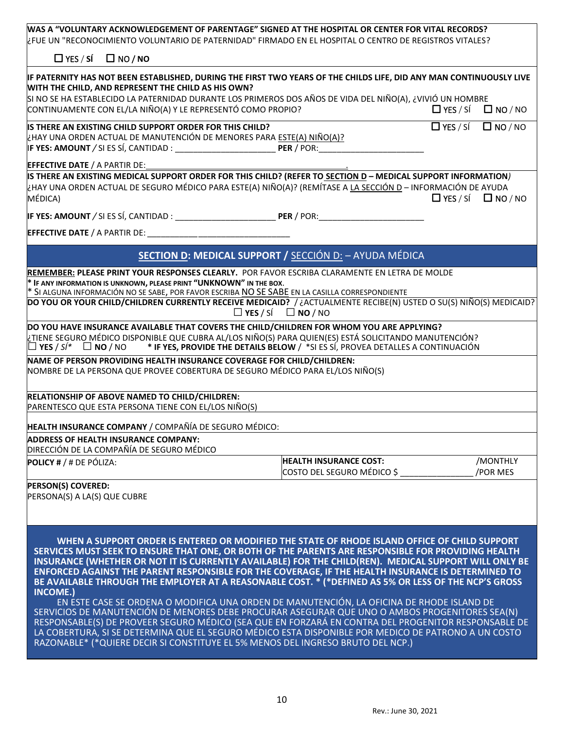| WAS A "VOLUNTARY ACKNOWLEDGEMENT OF PARENTAGE" SIGNED AT THE HOSPITAL OR CENTER FOR VITAL RECORDS?<br>¿FUE UN "RECONOCIMIENTO VOLUNTARIO DE PATERNIDAD" FIRMADO EN EL HOSPITAL O CENTRO DE REGISTROS VITALES?                                                                                                                                                                                                                                                                                                                                 |                                                                                                                                                          |                                                      |                      |  |
|-----------------------------------------------------------------------------------------------------------------------------------------------------------------------------------------------------------------------------------------------------------------------------------------------------------------------------------------------------------------------------------------------------------------------------------------------------------------------------------------------------------------------------------------------|----------------------------------------------------------------------------------------------------------------------------------------------------------|------------------------------------------------------|----------------------|--|
| $\Box$ YES / SÍ<br>$\Box$ NO / NO                                                                                                                                                                                                                                                                                                                                                                                                                                                                                                             |                                                                                                                                                          |                                                      |                      |  |
| IF PATERNITY HAS NOT BEEN ESTABLISHED, DURING THE FIRST TWO YEARS OF THE CHILDS LIFE, DID ANY MAN CONTINUOUSLY LIVE<br>WITH THE CHILD, AND REPRESENT THE CHILD AS HIS OWN?<br>SI NO SE HA ESTABLECIDO LA PATERNIDAD DURANTE LOS PRIMEROS DOS AÑOS DE VIDA DEL NIÑO(A), ¿VIVIÓ UN HOMBRE<br>CONTINUAMENTE CON EL/LA NIÑO(A) Y LE REPRESENTÓ COMO PROPIO?                                                                                                                                                                                       |                                                                                                                                                          | $\Box$ YES / SÍ $\Box$ NO / NO                       |                      |  |
| IS THERE AN EXISTING CHILD SUPPORT ORDER FOR THIS CHILD?<br>¿HAY UNA ORDEN ACTUAL DE MANUTENCIÓN DE MENORES PARA ESTE(A) NIÑO(A)?                                                                                                                                                                                                                                                                                                                                                                                                             |                                                                                                                                                          | $\overline{\Box}$ YES / SÍ $\overline{\Box}$ NO / NO |                      |  |
| <b>EFFECTIVE DATE / A PARTIR DE:</b><br>IS THERE AN EXISTING MEDICAL SUPPORT ORDER FOR THIS CHILD? (REFER TO SECTION D - MEDICAL SUPPORT INFORMATION)                                                                                                                                                                                                                                                                                                                                                                                         |                                                                                                                                                          |                                                      |                      |  |
| ¿HAY UNA ORDEN ACTUAL DE SEGURO MÉDICO PARA ESTE(A) NIÑO(A)? (REMÍTASE A LA SECCIÓN D - INFORMACIÓN DE AYUDA<br>MÉDICA)                                                                                                                                                                                                                                                                                                                                                                                                                       |                                                                                                                                                          | $\Box$ YES / SÍ $\Box$ NO / NO                       |                      |  |
|                                                                                                                                                                                                                                                                                                                                                                                                                                                                                                                                               |                                                                                                                                                          |                                                      |                      |  |
|                                                                                                                                                                                                                                                                                                                                                                                                                                                                                                                                               |                                                                                                                                                          |                                                      |                      |  |
|                                                                                                                                                                                                                                                                                                                                                                                                                                                                                                                                               | <b>SECTION D: MEDICAL SUPPORT / SECCIÓN D: - AYUDA MÉDICA</b>                                                                                            |                                                      |                      |  |
| REMEMBER: PLEASE PRINT YOUR RESPONSES CLEARLY. POR FAVOR ESCRIBA CLARAMENTE EN LETRA DE MOLDE<br>* IF ANY INFORMATION IS UNKNOWN, PLEASE PRINT "UNKNOWN" IN THE BOX.<br>* SI ALGUNA INFORMACIÓN NO SE SABE, POR FAVOR ESCRIBA NO SE SABE EN LA CASILLA CORRESPONDIENTE<br>DO YOU OR YOUR CHILD/CHILDREN CURRENTLY RECEIVE MEDICAID? / ¿ACTUALMENTE RECIBE(N) USTED O SU(S) NIÑO(S) MEDICAID?                                                                                                                                                  | $\Box$ YES / SÍ $\Box$ NO / NO                                                                                                                           |                                                      |                      |  |
| DO YOU HAVE INSURANCE AVAILABLE THAT COVERS THE CHILD/CHILDREN FOR WHOM YOU ARE APPLYING?<br>TIENE SEGURO MÉDICO DISPONIBLE QUE CUBRA AL/LOS NIÑO(S) PARA QUIEN(ES) ESTÁ SOLICITANDO MANUTENCIÓN? إذTIENE<br>$\square$ YES / S/* $\;\;\square\;$ NO / NO $\;\;\;\;$ * IF YES, PROVIDE THE DETAILS BELOW / *SI ES SÍ, PROVEA DETALLES A CONTINUACIÓN                                                                                                                                                                                           |                                                                                                                                                          |                                                      |                      |  |
|                                                                                                                                                                                                                                                                                                                                                                                                                                                                                                                                               | NAME OF PERSON PROVIDING HEALTH INSURANCE COVERAGE FOR CHILD/CHILDREN:<br>NOMBRE DE LA PERSONA QUE PROVEE COBERTURA DE SEGURO MÉDICO PARA EL/LOS NIÑO(S) |                                                      |                      |  |
| RELATIONSHIP OF ABOVE NAMED TO CHILD/CHILDREN:<br>PARENTESCO QUE ESTA PERSONA TIENE CON EL/LOS NIÑO(S)                                                                                                                                                                                                                                                                                                                                                                                                                                        |                                                                                                                                                          |                                                      |                      |  |
| HEALTH INSURANCE COMPANY / COMPAÑÍA DE SEGURO MÉDICO:                                                                                                                                                                                                                                                                                                                                                                                                                                                                                         |                                                                                                                                                          |                                                      |                      |  |
| <b>ADDRESS OF HEALTH INSURANCE COMPANY:</b><br>DIRECCIÓN DE LA COMPAÑÍA DE SEGURO MÉDICO                                                                                                                                                                                                                                                                                                                                                                                                                                                      |                                                                                                                                                          |                                                      |                      |  |
| <b>POLICY # / # DE PÓLIZA:</b>                                                                                                                                                                                                                                                                                                                                                                                                                                                                                                                | <b>HEALTH INSURANCE COST:</b><br>COSTO DEL SEGURO MÉDICO \$                                                                                              |                                                      | /MONTHLY<br>/POR MES |  |
| <b>PERSON(S) COVERED:</b><br>PERSONA(S) A LA(S) QUE CUBRE                                                                                                                                                                                                                                                                                                                                                                                                                                                                                     |                                                                                                                                                          |                                                      |                      |  |
| WHEN A SUPPORT ORDER IS ENTERED OR MODIFIED THE STATE OF RHODE ISLAND OFFICE OF CHILD SUPPORT<br>SERVICES MUST SEEK TO ENSURE THAT ONE, OR BOTH OF THE PARENTS ARE RESPONSIBLE FOR PROVIDING HEALTH<br>INSURANCE (WHETHER OR NOT IT IS CURRENTLY AVAILABLE) FOR THE CHILD(REN). MEDICAL SUPPORT WILL ONLY BE<br>ENFORCED AGAINST THE PARENT RESPONSIBLE FOR THE COVERAGE, IF THE HEALTH INSURANCE IS DETERMINED TO<br>BE AVAILABLE THROUGH THE EMPLOYER AT A REASONABLE COST. * (*DEFINED AS 5% OR LESS OF THE NCP'S GROSS<br><b>INCOME.)</b> |                                                                                                                                                          |                                                      |                      |  |

EN ESTE CASE SE ORDENA O MODIFICA UNA ORDEN DE MANUTENCIÓN, LA OFICINA DE RHODE ISLAND DE SERVICIOS DE MANUTENCIÓN DE MENORES DEBE PROCURAR ASEGURAR QUE UNO O AMBOS PROGENITORES SEA(N) RESPONSABLE(S) DE PROVEER SEGURO MÉDICO (SEA QUE EN FORZARÁ EN CONTRA DEL PROGENITOR RESPONSABLE DE LA COBERTURA, SI SE DETERMINA QUE EL SEGURO MÉDICO ESTA DISPONIBLE POR MEDICO DE PATRONO A UN COSTO RAZONABLE\* (\*QUIERE DECIR SI CONSTITUYE EL 5% MENOS DEL INGRESO BRUTO DEL NCP.)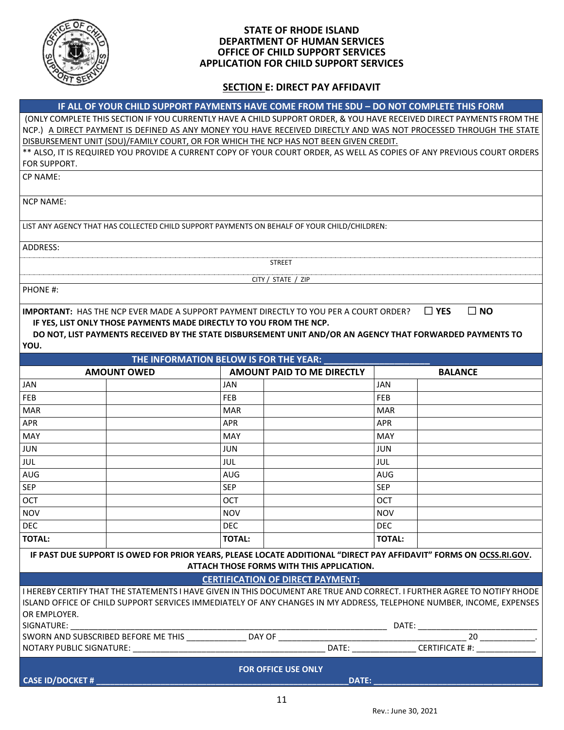

### **STATE OF RHODE ISLAND DEPARTMENT OF HUMAN SERVICES OFFICE OF CHILD SUPPORT SERVICES APPLICATION FOR CHILD SUPPORT SERVICES**

## **SECTION E: DIRECT PAY AFFIDAVIT**

|                            |                          | IF ALL OF YOUR CHILD SUPPORT PAYMENTS HAVE COME FROM THE SDU - DO NOT COMPLETE THIS FORM                                                                                                                                                                                         |               |                            |
|----------------------------|--------------------------|----------------------------------------------------------------------------------------------------------------------------------------------------------------------------------------------------------------------------------------------------------------------------------|---------------|----------------------------|
|                            |                          | (ONLY COMPLETE THIS SECTION IF YOU CURRENTLY HAVE A CHILD SUPPORT ORDER, & YOU HAVE RECEIVED DIRECT PAYMENTS FROM THE                                                                                                                                                            |               |                            |
|                            |                          | NCP.) A DIRECT PAYMENT IS DEFINED AS ANY MONEY YOU HAVE RECEIVED DIRECTLY AND WAS NOT PROCESSED THROUGH THE STATE                                                                                                                                                                |               |                            |
|                            |                          | DISBURSEMENT UNIT (SDU)/FAMILY COURT, OR FOR WHICH THE NCP HAS NOT BEEN GIVEN CREDIT.                                                                                                                                                                                            |               |                            |
|                            |                          | ** ALSO, IT IS REQUIRED YOU PROVIDE A CURRENT COPY OF YOUR COURT ORDER, AS WELL AS COPIES OF ANY PREVIOUS COURT ORDERS                                                                                                                                                           |               |                            |
| FOR SUPPORT.               |                          |                                                                                                                                                                                                                                                                                  |               |                            |
| <b>CP NAME:</b>            |                          |                                                                                                                                                                                                                                                                                  |               |                            |
| <b>NCP NAME:</b>           |                          |                                                                                                                                                                                                                                                                                  |               |                            |
|                            |                          | LIST ANY AGENCY THAT HAS COLLECTED CHILD SUPPORT PAYMENTS ON BEHALF OF YOUR CHILD/CHILDREN:                                                                                                                                                                                      |               |                            |
| ADDRESS:                   |                          |                                                                                                                                                                                                                                                                                  |               |                            |
|                            |                          | <b>STREET</b>                                                                                                                                                                                                                                                                    |               |                            |
|                            |                          |                                                                                                                                                                                                                                                                                  |               |                            |
| PHONE #:                   |                          | CITY / STATE / ZIP                                                                                                                                                                                                                                                               |               |                            |
|                            |                          |                                                                                                                                                                                                                                                                                  |               |                            |
| YOU.                       |                          | <b>IMPORTANT: HAS THE NCP EVER MADE A SUPPORT PAYMENT DIRECTLY TO YOU PER A COURT ORDER?</b><br>IF YES. LIST ONLY THOSE PAYMENTS MADE DIRECTLY TO YOU FROM THE NCP.<br>DO NOT, LIST PAYMENTS RECEIVED BY THE STATE DISBURSEMENT UNIT AND/OR AN AGENCY THAT FORWARDED PAYMENTS TO |               | $\Box$ YES<br>$\square$ NO |
|                            |                          | THE INFORMATION BELOW IS FOR THE YEAR:                                                                                                                                                                                                                                           |               |                            |
|                            |                          |                                                                                                                                                                                                                                                                                  |               |                            |
|                            | <b>AMOUNT OWED</b>       | <b>AMOUNT PAID TO ME DIRECTLY</b>                                                                                                                                                                                                                                                |               | <b>BALANCE</b>             |
| JAN                        |                          | <b>JAN</b>                                                                                                                                                                                                                                                                       | <b>JAN</b>    |                            |
| FEB                        |                          | FEB                                                                                                                                                                                                                                                                              | <b>FEB</b>    |                            |
| <b>MAR</b>                 |                          | <b>MAR</b>                                                                                                                                                                                                                                                                       | <b>MAR</b>    |                            |
| <b>APR</b>                 |                          | <b>APR</b>                                                                                                                                                                                                                                                                       | <b>APR</b>    |                            |
| <b>MAY</b>                 |                          | MAY                                                                                                                                                                                                                                                                              | <b>MAY</b>    |                            |
| <b>JUN</b>                 |                          | <b>JUN</b>                                                                                                                                                                                                                                                                       | <b>JUN</b>    |                            |
| JUL                        |                          | <b>JUL</b>                                                                                                                                                                                                                                                                       | JUL           |                            |
| AUG                        |                          | AUG                                                                                                                                                                                                                                                                              | AUG           |                            |
| <b>SEP</b>                 |                          | <b>SEP</b>                                                                                                                                                                                                                                                                       | <b>SEP</b>    |                            |
| OCT                        |                          | <b>OCT</b>                                                                                                                                                                                                                                                                       | <b>OCT</b>    |                            |
| <b>NOV</b>                 |                          | <b>NOV</b>                                                                                                                                                                                                                                                                       | <b>NOV</b>    |                            |
| <b>DEC</b>                 |                          | <b>DEC</b>                                                                                                                                                                                                                                                                       | <b>DEC</b>    |                            |
| <b>TOTAL:</b>              |                          | <b>TOTAL:</b>                                                                                                                                                                                                                                                                    | <b>TOTAL:</b> |                            |
|                            |                          | IF PAST DUE SUPPORT IS OWED FOR PRIOR YEARS, PLEASE LOCATE ADDITIONAL "DIRECT PAY AFFIDAVIT" FORMS ON OCSS.RI.GOV.<br>ATTACH THOSE FORMS WITH THIS APPLICATION.                                                                                                                  |               |                            |
|                            |                          | <b>CERTIFICATION OF DIRECT PAYMENT:</b>                                                                                                                                                                                                                                          |               |                            |
| OR EMPLOYER.<br>SIGNATURE: |                          | I HEREBY CERTIFY THAT THE STATEMENTS I HAVE GIVEN IN THIS DOCUMENT ARE TRUE AND CORRECT. I FURTHER AGREE TO NOTIFY RHODE<br>ISLAND OFFICE OF CHILD SUPPORT SERVICES IMMEDIATELY OF ANY CHANGES IN MY ADDRESS, TELEPHONE NUMBER, INCOME, EXPENSES                                 |               |                            |
|                            |                          |                                                                                                                                                                                                                                                                                  |               |                            |
|                            | NOTARY PUBLIC SIGNATURE: |                                                                                                                                                                                                                                                                                  | DATE:         | <b>CERTIFICATE #:</b>      |
|                            |                          | <b>FOR OFFICE USE ONLY</b>                                                                                                                                                                                                                                                       |               |                            |
| <b>CASE ID/DOCKET #</b>    |                          |                                                                                                                                                                                                                                                                                  | DATE:         |                            |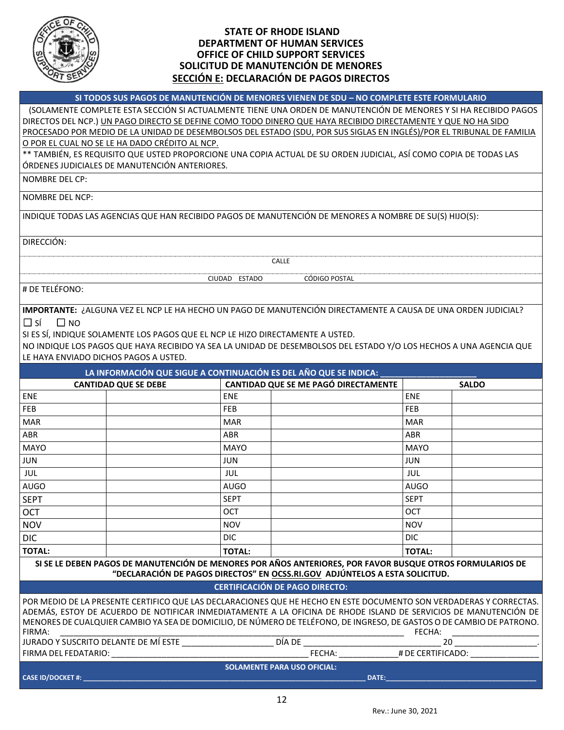

### **STATE OF RHODE ISLAND DEPARTMENT OF HUMAN SERVICES OFFICE OF CHILD SUPPORT SERVICES SOLICITUD DE MANUTENCIÓN DE MENORES SECCIÓN E: DECLARACIÓN DE PAGOS DIRECTOS**

**SI TODOS SUS PAGOS DE MANUTENCIÓN DE MENORES VIENEN DE SDU – NO COMPLETE ESTE FORMULARIO**

 (SOLAMENTE COMPLETE ESTA SECCIÓN SI ACTUALMENTE TIENE UNA ORDEN DE MANUTENCIÓN DE MENORES Y SI HA RECIBIDO PAGOS DIRECTOS DEL NCP.) UN PAGO DIRECTO SE DEFINE COMO TODO DINERO QUE HAYA RECIBIDO DIRECTAMENTE Y QUE NO HA SIDO PROCESADO POR MEDIO DE LA UNIDAD DE DESEMBOLSOS DEL ESTADO (SDU, POR SUS SIGLAS EN INGLÉS)/POR EL TRIBUNAL DE FAMILIA O POR EL CUAL NO SE LE HA DADO CRÉDITO AL NCP. \*\* TAMBIÉN, ES REQUISITO QUE USTED PROPORCIONE UNA COPIA ACTUAL DE SU ORDEN JUDICIAL, ASÍ COMO COPIA DE TODAS LAS

ÓRDENES JUDICIALES DE MANUTENCIÓN ANTERIORES.

NOMBRE DEL CP:

NOMBRE DEL NCP:

INDIQUE TODAS LAS AGENCIAS QUE HAN RECIBIDO PAGOS DE MANUTENCIÓN DE MENORES A NOMBRE DE SU(S) HIJO(S):

DIRECCIÓN:

CALLE

# DE TELÉFONO:

**IMPORTANTE:** ¿ALGUNA VEZ EL NCP LE HA HECHO UN PAGO DE MANUTENCIÓN DIRECTAMENTE A CAUSA DE UNA ORDEN JUDICIAL?  $\square$  SÍ  $\square$  NO

CIUDAD ESTADO CÓDIGO POSTAL

SI ES SÍ, INDIQUE SOLAMENTE LOS PAGOS QUE EL NCP LE HIZO DIRECTAMENTE A USTED.

NO INDIQUE LOS PAGOS QUE HAYA RECIBIDO YA SEA LA UNIDAD DE DESEMBOLSOS DEL ESTADO Y/O LOS HECHOS A UNA AGENCIA QUE LE HAYA ENVIADO DICHOS PAGOS A USTED.

|                                      |                             |               | LA INFORMACIÓN QUE SIGUE A CONTINUACIÓN ES DEL AÑO QUE SE INDICA:                                                                                                                                                                                                                                                                                                |               |              |
|--------------------------------------|-----------------------------|---------------|------------------------------------------------------------------------------------------------------------------------------------------------------------------------------------------------------------------------------------------------------------------------------------------------------------------------------------------------------------------|---------------|--------------|
|                                      | <b>CANTIDAD QUE SE DEBE</b> |               | CANTIDAD QUE SE ME PAGÓ DIRECTAMENTE                                                                                                                                                                                                                                                                                                                             |               | <b>SALDO</b> |
| <b>ENE</b>                           |                             | <b>ENE</b>    |                                                                                                                                                                                                                                                                                                                                                                  | <b>ENE</b>    |              |
| <b>FEB</b>                           |                             | <b>FEB</b>    |                                                                                                                                                                                                                                                                                                                                                                  | FEB           |              |
| <b>MAR</b>                           |                             | <b>MAR</b>    |                                                                                                                                                                                                                                                                                                                                                                  | <b>MAR</b>    |              |
| ABR                                  |                             | <b>ABR</b>    |                                                                                                                                                                                                                                                                                                                                                                  | <b>ABR</b>    |              |
| <b>MAYO</b>                          |                             | <b>MAYO</b>   |                                                                                                                                                                                                                                                                                                                                                                  | <b>MAYO</b>   |              |
| <b>JUN</b>                           |                             | <b>JUN</b>    |                                                                                                                                                                                                                                                                                                                                                                  | <b>JUN</b>    |              |
| <b>JUL</b>                           |                             | JUL           |                                                                                                                                                                                                                                                                                                                                                                  | JUL           |              |
| <b>AUGO</b>                          |                             | <b>AUGO</b>   |                                                                                                                                                                                                                                                                                                                                                                  | <b>AUGO</b>   |              |
| <b>SEPT</b>                          |                             | <b>SEPT</b>   |                                                                                                                                                                                                                                                                                                                                                                  | <b>SEPT</b>   |              |
| <b>OCT</b>                           |                             | <b>OCT</b>    |                                                                                                                                                                                                                                                                                                                                                                  | OCT           |              |
| <b>NOV</b>                           |                             | <b>NOV</b>    |                                                                                                                                                                                                                                                                                                                                                                  | <b>NOV</b>    |              |
| <b>DIC</b>                           |                             | DIC.          |                                                                                                                                                                                                                                                                                                                                                                  | DIC.          |              |
| <b>TOTAL:</b>                        |                             | <b>TOTAL:</b> |                                                                                                                                                                                                                                                                                                                                                                  | <b>TOTAL:</b> |              |
|                                      |                             |               | SI SE LE DEBEN PAGOS DE MANUTENCIÓN DE MENORES POR AÑOS ANTERIORES, POR FAVOR BUSQUE OTROS FORMULARIOS DE<br>"DECLARACIÓN DE PAGOS DIRECTOS" EN OCSS.RI.GOV ADJÚNTELOS A ESTA SOLICITUD.                                                                                                                                                                         |               |              |
|                                      |                             |               | <b>CERTIFICACIÓN DE PAGO DIRECTO:</b>                                                                                                                                                                                                                                                                                                                            |               |              |
| FIRMA:                               |                             |               | POR MEDIO DE LA PRESENTE CERTIFICO QUE LAS DECLARACIONES QUE HE HECHO EN ESTE DOCUMENTO SON VERDADERAS Y CORRECTAS.<br>ADEMÁS, ESTOY DE ACUERDO DE NOTIFICAR INMEDIATAMENTE A LA OFICINA DE RHODE ISLAND DE SERVICIOS DE MANUTENCIÓN DE<br>MENORES DE CUALQUIER CAMBIO YA SEA DE DOMICILIO, DE NÚMERO DE TELÉFONO, DE INGRESO, DE GASTOS O DE CAMBIO DE PATRONO. | FECHA:        |              |
| JURADO Y SUSCRITO DELANTE DE MÍ ESTE |                             |               | DÍA DE                                                                                                                                                                                                                                                                                                                                                           | 20            |              |

JURADO Y SUSCRITO DELANTE DE MÍ ESTE \_\_\_\_\_\_\_\_\_\_\_\_\_\_\_\_\_\_\_\_ DÍA DE \_\_\_\_\_\_\_\_\_\_\_\_\_\_\_\_\_\_\_\_\_\_\_\_\_\_\_\_\_\_ 20 \_\_\_\_\_\_\_\_\_\_\_\_\_\_\_\_\_\_. FIRMA DEL FEDATARIO: \_\_\_\_\_\_\_\_\_\_\_\_\_\_\_\_\_\_\_\_\_\_\_\_\_\_\_\_\_\_\_\_\_\_\_\_\_\_\_\_\_\_\_ FECHA: \_\_\_\_\_\_\_\_\_\_\_\_\_# DE CERTIFICADO: \_\_\_\_\_\_\_\_\_\_\_\_\_\_\_ **SOLAMENTE PARA USO OFICIAL: CASE ID/DOCKET #: \_\_\_\_\_\_\_\_\_\_\_\_\_\_\_\_\_\_\_\_\_\_\_\_\_\_\_\_\_\_\_\_\_\_\_\_\_\_\_\_\_\_\_\_\_\_\_\_\_\_\_\_\_\_\_\_\_\_\_\_\_\_\_\_\_\_\_\_\_\_\_\_\_\_\_\_\_ DATE:\_\_\_\_\_\_\_\_\_\_\_\_\_\_\_\_\_\_\_\_\_\_\_\_\_\_\_\_\_\_\_\_\_\_\_\_\_\_\_\_\_**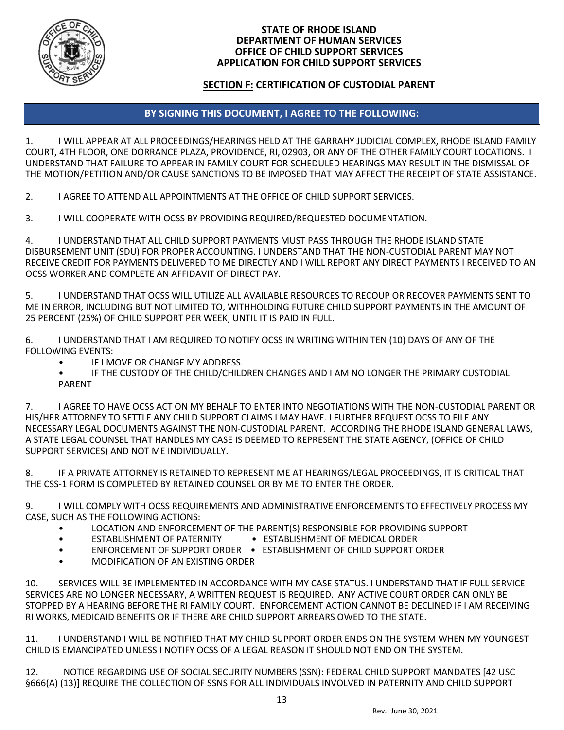

### **STATE OF RHODE ISLAND DEPARTMENT OF HUMAN SERVICES OFFICE OF CHILD SUPPORT SERVICES APPLICATION FOR CHILD SUPPORT SERVICES**

## **SECTION F: CERTIFICATION OF CUSTODIAL PARENT**

# **BY SIGNING THIS DOCUMENT, I AGREE TO THE FOLLOWING:**

1. I WILL APPEAR AT ALL PROCEEDINGS/HEARINGS HELD AT THE GARRAHY JUDICIAL COMPLEX, RHODE ISLAND FAMILY COURT, 4TH FLOOR, ONE DORRANCE PLAZA, PROVIDENCE, RI, 02903, OR ANY OF THE OTHER FAMILY COURT LOCATIONS. I UNDERSTAND THAT FAILURE TO APPEAR IN FAMILY COURT FOR SCHEDULED HEARINGS MAY RESULT IN THE DISMISSAL OF THE MOTION/PETITION AND/OR CAUSE SANCTIONS TO BE IMPOSED THAT MAY AFFECT THE RECEIPT OF STATE ASSISTANCE.

2. I AGREE TO ATTEND ALL APPOINTMENTS AT THE OFFICE OF CHILD SUPPORT SERVICES.

3. I WILL COOPERATE WITH OCSS BY PROVIDING REQUIRED/REQUESTED DOCUMENTATION.

4. I UNDERSTAND THAT ALL CHILD SUPPORT PAYMENTS MUST PASS THROUGH THE RHODE ISLAND STATE DISBURSEMENT UNIT (SDU) FOR PROPER ACCOUNTING. I UNDERSTAND THAT THE NON-CUSTODIAL PARENT MAY NOT RECEIVE CREDIT FOR PAYMENTS DELIVERED TO ME DIRECTLY AND I WILL REPORT ANY DIRECT PAYMENTS I RECEIVED TO AN OCSS WORKER AND COMPLETE AN AFFIDAVIT OF DIRECT PAY.

5. I UNDERSTAND THAT OCSS WILL UTILIZE ALL AVAILABLE RESOURCES TO RECOUP OR RECOVER PAYMENTS SENT TO ME IN ERROR, INCLUDING BUT NOT LIMITED TO, WITHHOLDING FUTURE CHILD SUPPORT PAYMENTS IN THE AMOUNT OF 25 PERCENT (25%) OF CHILD SUPPORT PER WEEK, UNTIL IT IS PAID IN FULL.

6. I UNDERSTAND THAT I AM REQUIRED TO NOTIFY OCSS IN WRITING WITHIN TEN (10) DAYS OF ANY OF THE FOLLOWING EVENTS:

- IF I MOVE OR CHANGE MY ADDRESS.
- IF THE CUSTODY OF THE CHILD/CHILDREN CHANGES AND I AM NO LONGER THE PRIMARY CUSTODIAL PARENT

7. I AGREE TO HAVE OCSS ACT ON MY BEHALF TO ENTER INTO NEGOTIATIONS WITH THE NON-CUSTODIAL PARENT OR HIS/HER ATTORNEY TO SETTLE ANY CHILD SUPPORT CLAIMS I MAY HAVE. I FURTHER REQUEST OCSS TO FILE ANY NECESSARY LEGAL DOCUMENTS AGAINST THE NON-CUSTODIAL PARENT. ACCORDING THE RHODE ISLAND GENERAL LAWS, A STATE LEGAL COUNSEL THAT HANDLES MY CASE IS DEEMED TO REPRESENT THE STATE AGENCY, (OFFICE OF CHILD SUPPORT SERVICES) AND NOT ME INDIVIDUALLY.

8. IF A PRIVATE ATTORNEY IS RETAINED TO REPRESENT ME AT HEARINGS/LEGAL PROCEEDINGS, IT IS CRITICAL THAT THE CSS-1 FORM IS COMPLETED BY RETAINED COUNSEL OR BY ME TO ENTER THE ORDER.

9. I WILL COMPLY WITH OCSS REQUIREMENTS AND ADMINISTRATIVE ENFORCEMENTS TO EFFECTIVELY PROCESS MY CASE, SUCH AS THE FOLLOWING ACTIONS:

- LOCATION AND ENFORCEMENT OF THE PARENT(S) RESPONSIBLE FOR PROVIDING SUPPORT
- ESTABLISHMENT OF PATERNITY ESTABLISHMENT OF MEDICAL ORDER
	-
- ENFORCEMENT OF SUPPORT ORDER ESTABLISHMENT OF CHILD SUPPORT ORDER
- MODIFICATION OF AN EXISTING ORDER

10. SERVICES WILL BE IMPLEMENTED IN ACCORDANCE WITH MY CASE STATUS. I UNDERSTAND THAT IF FULL SERVICE SERVICES ARE NO LONGER NECESSARY, A WRITTEN REQUEST IS REQUIRED. ANY ACTIVE COURT ORDER CAN ONLY BE STOPPED BY A HEARING BEFORE THE RI FAMILY COURT. ENFORCEMENT ACTION CANNOT BE DECLINED IF I AM RECEIVING RI WORKS, MEDICAID BENEFITS OR IF THERE ARE CHILD SUPPORT ARREARS OWED TO THE STATE.

11. I UNDERSTAND I WILL BE NOTIFIED THAT MY CHILD SUPPORT ORDER ENDS ON THE SYSTEM WHEN MY YOUNGEST CHILD IS EMANCIPATED UNLESS I NOTIFY OCSS OF A LEGAL REASON IT SHOULD NOT END ON THE SYSTEM.

12. NOTICE REGARDING USE OF SOCIAL SECURITY NUMBERS (SSN): FEDERAL CHILD SUPPORT MANDATES [42 USC §666(A) (13)] REQUIRE THE COLLECTION OF SSNS FOR ALL INDIVIDUALS INVOLVED IN PATERNITY AND CHILD SUPPORT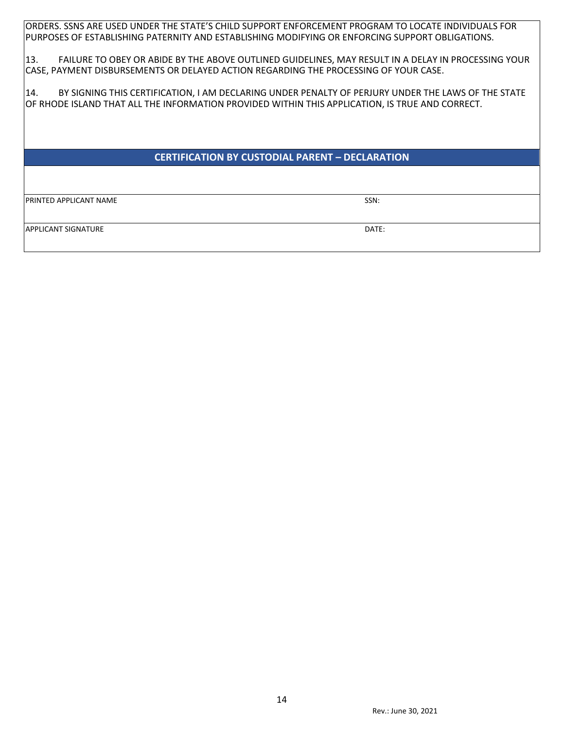ORDERS. SSNS ARE USED UNDER THE STATE'S CHILD SUPPORT ENFORCEMENT PROGRAM TO LOCATE INDIVIDUALS FOR PURPOSES OF ESTABLISHING PATERNITY AND ESTABLISHING MODIFYING OR ENFORCING SUPPORT OBLIGATIONS.

13. FAILURE TO OBEY OR ABIDE BY THE ABOVE OUTLINED GUIDELINES, MAY RESULT IN A DELAY IN PROCESSING YOUR CASE, PAYMENT DISBURSEMENTS OR DELAYED ACTION REGARDING THE PROCESSING OF YOUR CASE.

14. BY SIGNING THIS CERTIFICATION, I AM DECLARING UNDER PENALTY OF PERJURY UNDER THE LAWS OF THE STATE OF RHODE ISLAND THAT ALL THE INFORMATION PROVIDED WITHIN THIS APPLICATION, IS TRUE AND CORRECT.

# **CERTIFICATION BY CUSTODIAL PARENT – DECLARATION**

**PRINTED APPLICANT NAME** SSN:

APPLICANT SIGNATURE **External of the contract of the contract of the contract of the contract of the contract of the contract of the contract of the contract of the contract of the contract of the contract of the contract**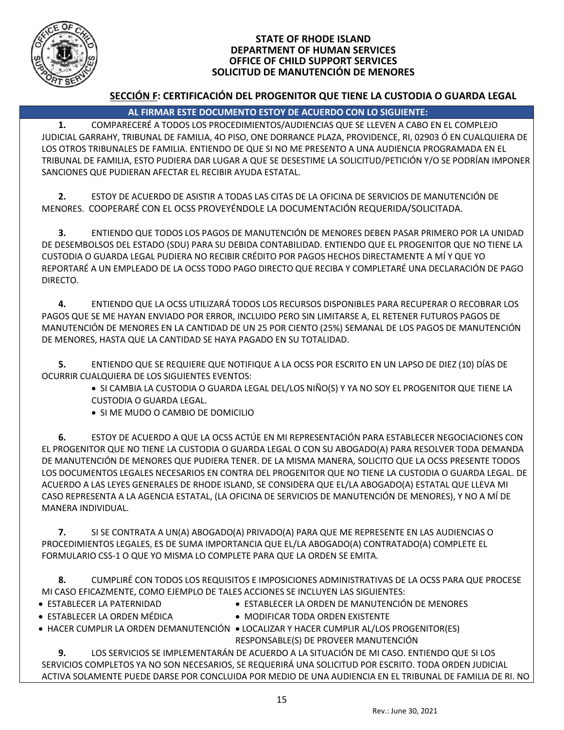

### **STATE OF RHODE ISLAND DEPARTMENT OF HUMAN SERVICES OFFICE OF CHILD SUPPORT SERVICES SOLICITUD DE MANUTENCIÓN DE MENORES**

# **SECCIÓN F: CERTIFICACIÓN DEL PROGENITOR QUE TIENE LA CUSTODIA O GUARDA LEGAL**

# **AL FIRMAR ESTE DOCUMENTO ESTOY DE ACUERDO CON LO SIGUIENTE:**

**1.** COMPARECERÉ A TODOS LOS PROCEDIMIENTOS/AUDIENCIAS QUE SE LLEVEN A CABO EN EL COMPLEJO JUDICIAL GARRAHY, TRIBUNAL DE FAMILIA, 4O PISO, ONE DORRANCE PLAZA, PROVIDENCE, RI, 02903 Ó EN CUALQUIERA DE LOS OTROS TRIBUNALES DE FAMILIA. ENTIENDO DE QUE SI NO ME PRESENTO A UNA AUDIENCIA PROGRAMADA EN EL TRIBUNAL DE FAMILIA, ESTO PUDIERA DAR LUGAR A QUE SE DESESTIME LA SOLICITUD/PETICIÓN Y/O SE PODRÍAN IMPONER SANCIONES QUE PUDIERAN AFECTAR EL RECIBIR AYUDA ESTATAL.

**2.** ESTOY DE ACUERDO DE ASISTIR A TODAS LAS CITAS DE LA OFICINA DE SERVICIOS DE MANUTENCIÓN DE MENORES. COOPERARÉ CON EL OCSS PROVEYÉNDOLE LA DOCUMENTACIÓN REQUERIDA/SOLICITADA.

**3.** ENTIENDO QUE TODOS LOS PAGOS DE MANUTENCIÓN DE MENORES DEBEN PASAR PRIMERO POR LA UNIDAD DE DESEMBOLSOS DEL ESTADO (SDU) PARA SU DEBIDA CONTABILIDAD. ENTIENDO QUE EL PROGENITOR QUE NO TIENE LA CUSTODIA O GUARDA LEGAL PUDIERA NO RECIBIR CRÉDITO POR PAGOS HECHOS DIRECTAMENTE A MÍ Y QUE YO REPORTARÉ A UN EMPLEADO DE LA OCSS TODO PAGO DIRECTO QUE RECIBA Y COMPLETARÉ UNA DECLARACIÓN DE PAGO DIRECTO.

**4.** ENTIENDO QUE LA OCSS UTILIZARÁ TODOS LOS RECURSOS DISPONIBLES PARA RECUPERAR O RECOBRAR LOS PAGOS QUE SE ME HAYAN ENVIADO POR ERROR, INCLUIDO PERO SIN LIMITARSE A, EL RETENER FUTUROS PAGOS DE MANUTENCIÓN DE MENORES EN LA CANTIDAD DE UN 25 POR CIENTO (25%) SEMANAL DE LOS PAGOS DE MANUTENCIÓN DE MENORES, HASTA QUE LA CANTIDAD SE HAYA PAGADO EN SU TOTALIDAD.

**5.** ENTIENDO QUE SE REQUIERE QUE NOTIFIQUE A LA OCSS POR ESCRITO EN UN LAPSO DE DIEZ (10) DÍAS DE OCURRIR CUALQUIERA DE LOS SIGUIENTES EVENTOS:

- SI CAMBIA LA CUSTODIA O GUARDA LEGAL DEL/LOS NIÑO(S) Y YA NO SOY EL PROGENITOR QUE TIENE LA CUSTODIA O GUARDA LEGAL.
- SI ME MUDO O CAMBIO DE DOMICILIO

**6.** ESTOY DE ACUERDO A QUE LA OCSS ACTÚE EN MI REPRESENTACIÓN PARA ESTABLECER NEGOCIACIONES CON EL PROGENITOR QUE NO TIENE LA CUSTODIA O GUARDA LEGAL O CON SU ABOGADO(A) PARA RESOLVER TODA DEMANDA DE MANUTENCIÓN DE MENORES QUE PUDIERA TENER. DE LA MISMA MANERA, SOLICITO QUE LA OCSS PRESENTE TODOS LOS DOCUMENTOS LEGALES NECESARIOS EN CONTRA DEL PROGENITOR QUE NO TIENE LA CUSTODIA O GUARDA LEGAL. DE ACUERDO A LAS LEYES GENERALES DE RHODE ISLAND, SE CONSIDERA QUE EL/LA ABOGADO(A) ESTATAL QUE LLEVA MI CASO REPRESENTA A LA AGENCIA ESTATAL, (LA OFICINA DE SERVICIOS DE MANUTENCIÓN DE MENORES), Y NO A MÍ DE MANERA INDIVIDUAL.

**7.** SI SE CONTRATA A UN(A) ABOGADO(A) PRIVADO(A) PARA QUE ME REPRESENTE EN LAS AUDIENCIAS O PROCEDIMIENTOS LEGALES, ES DE SUMA IMPORTANCIA QUE EL/LA ABOGADO(A) CONTRATADO(A) COMPLETE EL FORMULARIO CSS-1 O QUE YO MISMA LO COMPLETE PARA QUE LA ORDEN SE EMITA.

**8.** CUMPLIRÉ CON TODOS LOS REQUISITOS E IMPOSICIONES ADMINISTRATIVAS DE LA OCSS PARA QUE PROCESE MI CASO EFICAZMENTE, COMO EJEMPLO DE TALES ACCIONES SE INCLUYEN LAS SIGUIENTES:

- ESTABLECER LA PATERNIDAD ESTABLECER LA ORDEN DE MANUTENCIÓN DE MENORES
- 
- ESTABLECER LA ORDEN MÉDICA MODIFICAR TODA ORDEN EXISTENTE
- HACER CUMPLIR LA ORDEN DEMANUTENCIÓN LOCALIZAR Y HACER CUMPLIR AL/LOS PROGENITOR(ES) RESPONSABLE(S) DE PROVEER MANUTENCIÓN

**9.** LOS SERVICIOS SE IMPLEMENTARÁN DE ACUERDO A LA SITUACIÓN DE MI CASO. ENTIENDO QUE SI LOS SERVICIOS COMPLETOS YA NO SON NECESARIOS, SE REQUERIRÁ UNA SOLICITUD POR ESCRITO. TODA ORDEN JUDICIAL ACTIVA SOLAMENTE PUEDE DARSE POR CONCLUIDA POR MEDIO DE UNA AUDIENCIA EN EL TRIBUNAL DE FAMILIA DE RI. NO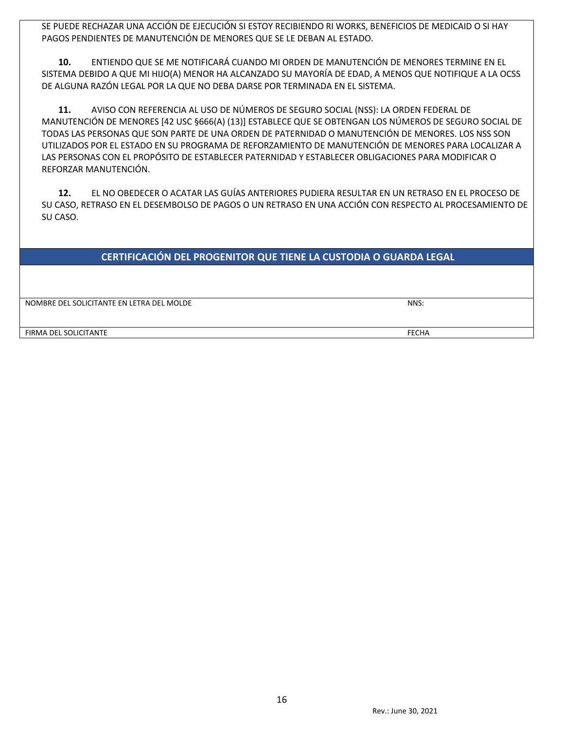SE PUEDE RECHAZAR UNA ACCIÓN DE EJECUCIÓN SI ESTOY RECIBIENDO RI WORKS, BENEFICIOS DE MEDICAID O SI HAY PAGOS PENDIENTES DE MANUTENCIÓN DE MENORES QUE SE LE DEBAN AL ESTADO.

**10.** ENTIENDO QUE SE ME NOTIFICARÁ CUANDO MI ORDEN DE MANUTENCIÓN DE MENORES TERMINE EN EL SISTEMA DEBIDO A QUE MI HIJO(A) MENOR HA ALCANZADO SU MAYORÍA DE EDAD, A MENOS QUE NOTIFIQUE A LA OCSS DE ALGUNA RAZÓN LEGAL POR LA QUE NO DEBA DARSE POR TERMINADA EN EL SISTEMA.

**11.** AVISO CON REFERENCIA AL USO DE NÚMEROS DE SEGURO SOCIAL (NSS): LA ORDEN FEDERAL DE MANUTENCIÓN DE MENORES [42 USC §666(A) (13)] ESTABLECE QUE SE OBTENGAN LOS NÚMEROS DE SEGURO SOCIAL DE TODAS LAS PERSONAS QUE SON PARTE DE UNA ORDEN DE PATERNIDAD O MANUTENCIÓN DE MENORES. LOS NSS SON UTILIZADOS POR EL ESTADO EN SU PROGRAMA DE REFORZAMIENTO DE MANUTENCIÓN DE MENORES PARA LOCALIZAR A LAS PERSONAS CON EL PROPÓSITO DE ESTABLECER PATERNIDAD Y ESTABLECER OBLIGACIONES PARA MODIFICAR O REFORZAR MANUTENCIÓN.

**12.** EL NO OBEDECER O ACATAR LAS GUÍAS ANTERIORES PUDIERA RESULTAR EN UN RETRASO EN EL PROCESO DE SU CASO, RETRASO EN EL DESEMBOLSO DE PAGOS O UN RETRASO EN UNA ACCIÓN CON RESPECTO AL PROCESAMIENTO DE SU CASO.

# **CERTIFICACIÓN DEL PROGENITOR QUE TIENE LA CUSTODIA O GUARDA LEGAL**

NOMBRE DEL SOLICITANTE EN LETRA DEL MOLDE NOMBRE DEL SOLICITANTE EN LETRA DEL MOLDE NOMBRE DEL SOLICITANTE EN LETRA DEL MOLDE NOMBRE DEL SOLICITANTE EN LETRA DEL MOLDE NOMBRE DEL SOLICITANTE EN LETRA DEL MOLDE NOMBRE DEL S

FIRMA DEL SOLICITANTE FECHA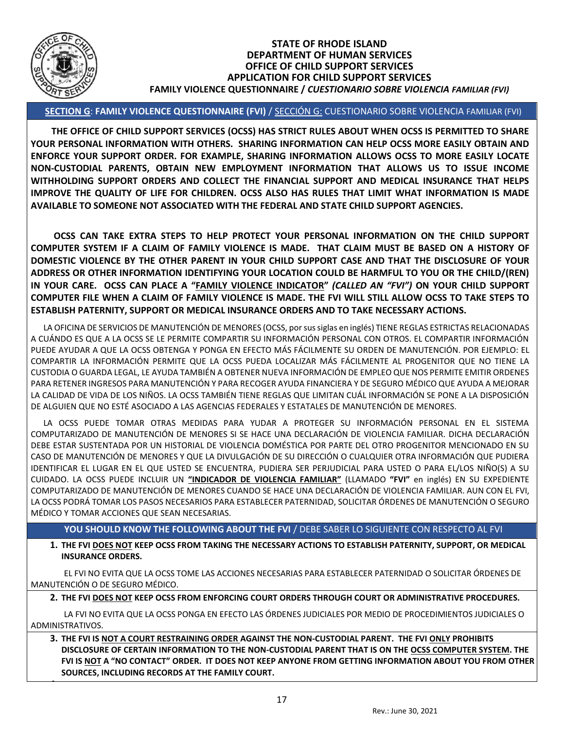

**4.**

#### **STATE OF RHODE ISLAND DEPARTMENT OF HUMAN SERVICES OFFICE OF CHILD SUPPORT SERVICES APPLICATION FOR CHILD SUPPORT SERVICES FAMILY VIOLENCE QUESTIONNAIRE /** *CUESTIONARIO SOBRE VIOLENCIA FAMILIAR (FVI)*

## **SECTION G**: **FAMILY VIOLENCE QUESTIONNAIRE (FVI)** / SECCIÓN G: CUESTIONARIO SOBRE VIOLENCIA FAMILIAR (FVI)

 **THE OFFICE OF CHILD SUPPORT SERVICES (OCSS) HAS STRICT RULES ABOUT WHEN OCSS IS PERMITTED TO SHARE YOUR PERSONAL INFORMATION WITH OTHERS. SHARING INFORMATION CAN HELP OCSS MORE EASILY OBTAIN AND ENFORCE YOUR SUPPORT ORDER. FOR EXAMPLE, SHARING INFORMATION ALLOWS OCSS TO MORE EASILY LOCATE NON-CUSTODIAL PARENTS, OBTAIN NEW EMPLOYMENT INFORMATION THAT ALLOWS US TO ISSUE INCOME WITHHOLDING SUPPORT ORDERS AND COLLECT THE FINANCIAL SUPPORT AND MEDICAL INSURANCE THAT HELPS IMPROVE THE QUALITY OF LIFE FOR CHILDREN. OCSS ALSO HAS RULES THAT LIMIT WHAT INFORMATION IS MADE AVAILABLE TO SOMEONE NOT ASSOCIATED WITH THE FEDERAL AND STATE CHILD SUPPORT AGENCIES.** 

 **OCSS CAN TAKE EXTRA STEPS TO HELP PROTECT YOUR PERSONAL INFORMATION ON THE CHILD SUPPORT COMPUTER SYSTEM IF A CLAIM OF FAMILY VIOLENCE IS MADE. THAT CLAIM MUST BE BASED ON A HISTORY OF DOMESTIC VIOLENCE BY THE OTHER PARENT IN YOUR CHILD SUPPORT CASE AND THAT THE DISCLOSURE OF YOUR ADDRESS OR OTHER INFORMATION IDENTIFYING YOUR LOCATION COULD BE HARMFUL TO YOU OR THE CHILD/(REN) IN YOUR CARE. OCSS CAN PLACE A "FAMILY VIOLENCE INDICATOR"** *(CALLED AN "FVI")* **ON YOUR CHILD SUPPORT COMPUTER FILE WHEN A CLAIM OF FAMILY VIOLENCE IS MADE. THE FVI WILL STILL ALLOW OCSS TO TAKE STEPS TO ESTABLISH PATERNITY, SUPPORT OR MEDICAL INSURANCE ORDERS AND TO TAKE NECESSARY ACTIONS.**

 LA OFICINA DE SERVICIOS DE MANUTENCIÓN DE MENORES (OCSS, por sus siglas en inglés) TIENE REGLAS ESTRICTAS RELACIONADAS A CUÁNDO ES QUE A LA OCSS SE LE PERMITE COMPARTIR SU INFORMACIÓN PERSONAL CON OTROS. EL COMPARTIR INFORMACIÓN PUEDE AYUDAR A QUE LA OCSS OBTENGA Y PONGA EN EFECTO MÁS FÁCILMENTE SU ORDEN DE MANUTENCIÓN. POR EJEMPLO: EL COMPARTIR LA INFORMACIÓN PERMITE QUE LA OCSS PUEDA LOCALIZAR MÁS FÁCILMENTE AL PROGENITOR QUE NO TIENE LA CUSTODIA O GUARDA LEGAL, LE AYUDA TAMBIÉN A OBTENER NUEVA INFORMACIÓN DE EMPLEO QUE NOS PERMITE EMITIR ORDENES PARA RETENER INGRESOS PARA MANUTENCIÓN Y PARA RECOGER AYUDA FINANCIERA Y DE SEGURO MÉDICO QUE AYUDA A MEJORAR LA CALIDAD DE VIDA DE LOS NIÑOS. LA OCSS TAMBIÉN TIENE REGLAS QUE LIMITAN CUÁL INFORMACIÓN SE PONE A LA DISPOSICIÓN DE ALGUIEN QUE NO ESTÉ ASOCIADO A LAS AGENCIAS FEDERALES Y ESTATALES DE MANUTENCIÓN DE MENORES.

 LA OCSS PUEDE TOMAR OTRAS MEDIDAS PARA YUDAR A PROTEGER SU INFORMACIÓN PERSONAL EN EL SISTEMA COMPUTARIZADO DE MANUTENCIÓN DE MENORES SI SE HACE UNA DECLARACIÓN DE VIOLENCIA FAMILIAR. DICHA DECLARACIÓN DEBE ESTAR SUSTENTADA POR UN HISTORIAL DE VIOLENCIA DOMÉSTICA POR PARTE DEL OTRO PROGENITOR MENCIONADO EN SU CASO DE MANUTENCIÓN DE MENORES Y QUE LA DIVULGACIÓN DE SU DIRECCIÓN O CUALQUIER OTRA INFORMACIÓN QUE PUDIERA IDENTIFICAR EL LUGAR EN EL QUE USTED SE ENCUENTRA, PUDIERA SER PERJUDICIAL PARA USTED O PARA EL/LOS NIÑO(S) A SU CUIDADO. LA OCSS PUEDE INCLUIR UN **"INDICADOR DE VIOLENCIA FAMILIAR"** (LLAMADO **"FVI"** en inglés) EN SU EXPEDIENTE COMPUTARIZADO DE MANUTENCIÓN DE MENORES CUANDO SE HACE UNA DECLARACIÓN DE VIOLENCIA FAMILIAR. AUN CON EL FVI, LA OCSS PODRÁ TOMAR LOS PASOS NECESARIOS PARA ESTABLECER PATERNIDAD, SOLICITAR ÓRDENES DE MANUTENCIÓN O SEGURO MÉDICO Y TOMAR ACCIONES QUE SEAN NECESARIAS.

## YOU SHOULD KNOW THE FOLLOWING ABOUT THE FVI / DEBE SABER LO SIGUIENTE CON RESPECTO AL FVI

**1. THE FVI DOES NOT KEEP OCSS FROM TAKING THE NECESSARY ACTIONS TO ESTABLISH PATERNITY, SUPPORT, OR MEDICAL INSURANCE ORDERS.**

EL FVI NO EVITA QUE LA OCSS TOME LAS ACCIONES NECESARIAS PARA ESTABLECER PATERNIDAD O SOLICITAR ÓRDENES DE MANUTENCIÓN O DE SEGURO MÉDICO.

**2. THE FVI DOES NOT KEEP OCSS FROM ENFORCING COURT ORDERS THROUGH COURT OR ADMINISTRATIVE PROCEDURES.**

LA FVI NO EVITA QUE LA OCSS PONGA EN EFECTO LAS ÓRDENES JUDICIALES POR MEDIO DE PROCEDIMIENTOS JUDICIALES O ADMINISTRATIVOS.

**3. THE FVI IS NOT A COURT RESTRAINING ORDER AGAINST THE NON-CUSTODIAL PARENT. THE FVI ONLY PROHIBITS DISCLOSURE OF CERTAIN INFORMATION TO THE NON-CUSTODIAL PARENT THAT IS ON THE OCSS COMPUTER SYSTEM. THE FVI IS NOT A "NO CONTACT" ORDER. IT DOES NOT KEEP ANYONE FROM GETTING INFORMATION ABOUT YOU FROM OTHER SOURCES, INCLUDING RECORDS AT THE FAMILY COURT.**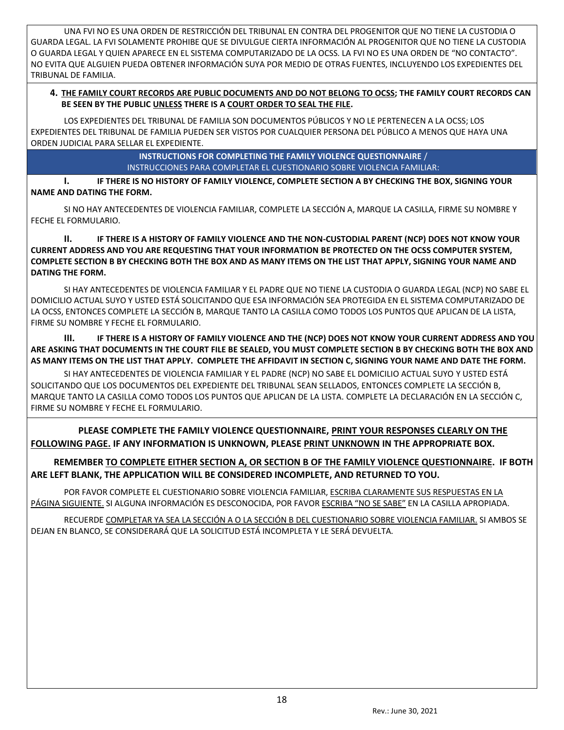UNA FVI NO ES UNA ORDEN DE RESTRICCIÓN DEL TRIBUNAL EN CONTRA DEL PROGENITOR QUE NO TIENE LA CUSTODIA O GUARDA LEGAL. LA FVI SOLAMENTE PROHIBE QUE SE DIVULGUE CIERTA INFORMACIÓN AL PROGENITOR QUE NO TIENE LA CUSTODIA O GUARDA LEGAL Y QUIEN APARECE EN EL SISTEMA COMPUTARIZADO DE LA OCSS. LA FVI NO ES UNA ORDEN DE "NO CONTACTO". NO EVITA QUE ALGUIEN PUEDA OBTENER INFORMACIÓN SUYA POR MEDIO DE OTRAS FUENTES, INCLUYENDO LOS EXPEDIENTES DEL TRIBUNAL DE FAMILIA.

### **4. THE FAMILY COURT RECORDS ARE PUBLIC DOCUMENTS AND DO NOT BELONG TO OCSS; THE FAMILY COURT RECORDS CAN BE SEEN BY THE PUBLIC UNLESS THERE IS A COURT ORDER TO SEAL THE FILE.**

LOS EXPEDIENTES DEL TRIBUNAL DE FAMILIA SON DOCUMENTOS PÚBLICOS Y NO LE PERTENECEN A LA OCSS; LOS EXPEDIENTES DEL TRIBUNAL DE FAMILIA PUEDEN SER VISTOS POR CUALQUIER PERSONA DEL PÚBLICO A MENOS QUE HAYA UNA ORDEN JUDICIAL PARA SELLAR EL EXPEDIENTE.

> **INSTRUCTIONS FOR COMPLETING THE FAMILY VIOLENCE QUESTIONNAIRE** / INSTRUCCIONES PARA COMPLETAR EL CUESTIONARIO SOBRE VIOLENCIA FAMILIAR:

**I. IF THERE IS NO HISTORY OF FAMILY VIOLENCE, COMPLETE SECTION A BY CHECKING THE BOX, SIGNING YOUR NAME AND DATING THE FORM.**

SI NO HAY ANTECEDENTES DE VIOLENCIA FAMILIAR, COMPLETE LA SECCIÓN A, MARQUE LA CASILLA, FIRME SU NOMBRE Y FECHE EL FORMULARIO.

**II. IF THERE IS A HISTORY OF FAMILY VIOLENCE AND THE NON-CUSTODIAL PARENT (NCP) DOES NOT KNOW YOUR CURRENT ADDRESS AND YOU ARE REQUESTING THAT YOUR INFORMATION BE PROTECTED ON THE OCSS COMPUTER SYSTEM, COMPLETE SECTION B BY CHECKING BOTH THE BOX AND AS MANY ITEMS ON THE LIST THAT APPLY, SIGNING YOUR NAME AND DATING THE FORM.**

SI HAY ANTECEDENTES DE VIOLENCIA FAMILIAR Y EL PADRE QUE NO TIENE LA CUSTODIA O GUARDA LEGAL (NCP) NO SABE EL DOMICILIO ACTUAL SUYO Y USTED ESTÁ SOLICITANDO QUE ESA INFORMACIÓN SEA PROTEGIDA EN EL SISTEMA COMPUTARIZADO DE LA OCSS, ENTONCES COMPLETE LA SECCIÓN B, MARQUE TANTO LA CASILLA COMO TODOS LOS PUNTOS QUE APLICAN DE LA LISTA, FIRME SU NOMBRE Y FECHE EL FORMULARIO.

**III. IF THERE IS A HISTORY OF FAMILY VIOLENCE AND THE (NCP) DOES NOT KNOW YOUR CURRENT ADDRESS AND YOU ARE ASKING THAT DOCUMENTS IN THE COURT FILE BE SEALED, YOU MUST COMPLETE SECTION B BY CHECKING BOTH THE BOX AND AS MANY ITEMS ON THE LIST THAT APPLY. COMPLETE THE AFFIDAVIT IN SECTION C, SIGNING YOUR NAME AND DATE THE FORM.**

SI HAY ANTECEDENTES DE VIOLENCIA FAMILIAR Y EL PADRE (NCP) NO SABE EL DOMICILIO ACTUAL SUYO Y USTED ESTÁ SOLICITANDO QUE LOS DOCUMENTOS DEL EXPEDIENTE DEL TRIBUNAL SEAN SELLADOS, ENTONCES COMPLETE LA SECCIÓN B, MARQUE TANTO LA CASILLA COMO TODOS LOS PUNTOS QUE APLICAN DE LA LISTA. COMPLETE LA DECLARACIÓN EN LA SECCIÓN C, FIRME SU NOMBRE Y FECHE EL FORMULARIO.

 **PLEASE COMPLETE THE FAMILY VIOLENCE QUESTIONNAIRE, PRINT YOUR RESPONSES CLEARLY ON THE FOLLOWING PAGE. IF ANY INFORMATION IS UNKNOWN, PLEASE PRINT UNKNOWN IN THE APPROPRIATE BOX.**

 **REMEMBER TO COMPLETE EITHER SECTION A, OR SECTION B OF THE FAMILY VIOLENCE QUESTIONNAIRE. IF BOTH ARE LEFT BLANK, THE APPLICATION WILL BE CONSIDERED INCOMPLETE, AND RETURNED TO YOU.** 

POR FAVOR COMPLETE EL CUESTIONARIO SOBRE VIOLENCIA FAMILIAR, ESCRIBA CLARAMENTE SUS RESPUESTAS EN LA PÁGINA SIGUIENTE. SI ALGUNA INFORMACIÓN ES DESCONOCIDA, POR FAVOR ESCRIBA "NO SE SABE" EN LA CASILLA APROPIADA.

RECUERDE COMPLETAR YA SEA LA SECCIÓN A O LA SECCIÓN B DEL CUESTIONARIO SOBRE VIOLENCIA FAMILIAR. SI AMBOS SE DEJAN EN BLANCO, SE CONSIDERARÁ QUE LA SOLICITUD ESTÁ INCOMPLETA Y LE SERÁ DEVUELTA.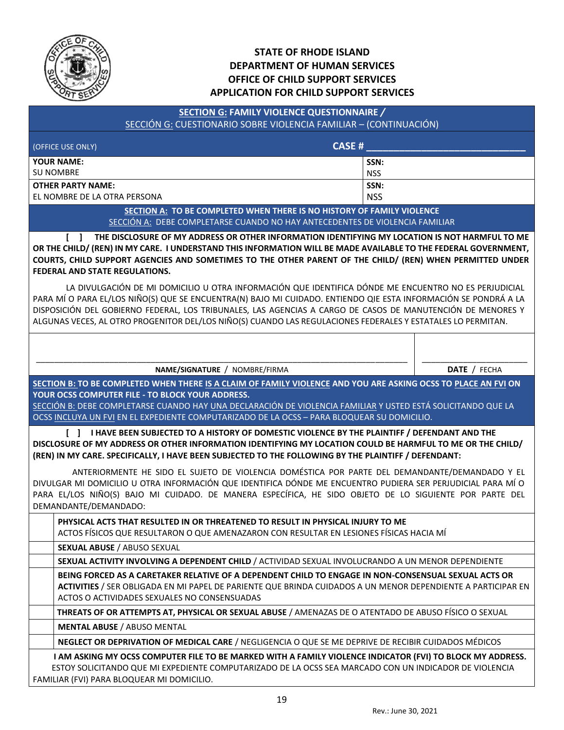

# **STATE OF RHODE ISLAND DEPARTMENT OF HUMAN SERVICES OFFICE OF CHILD SUPPORT SERVICES APPLICATION FOR CHILD SUPPORT SERVICES**

## **SECTION G: FAMILY VIOLENCE QUESTIONNAIRE** */*  SECCIÓN G: CUESTIONARIO SOBRE VIOLENCIA FAMILIAR – (CONTINUACIÓN)

| (OFFICE USE ONLY)              | CASE#      |
|--------------------------------|------------|
| <b>YOUR NAME:</b>              | SSN:       |
| l su nombre                    | <b>NSS</b> |
| OTHER PARTY NAME:              | SSN:       |
| l EL NOMBRE DE LA OTRA PERSONA | <b>NSS</b> |

**SECTION A: TO BE COMPLETED WHEN THERE IS NO HISTORY OF FAMILY VIOLENCE** SECCIÓN A: DEBE COMPLETARSE CUANDO NO HAY ANTECEDENTES DE VIOLENCIA FAMILIAR

**[ ] THE DISCLOSURE OF MY ADDRESS OR OTHER INFORMATION IDENTIFYING MY LOCATION IS NOT HARMFUL TO ME OR THE CHILD/ (REN) IN MY CARE. I UNDERSTAND THIS INFORMATION WILL BE MADE AVAILABLE TO THE FEDERAL GOVERNMENT, COURTS, CHILD SUPPORT AGENCIES AND SOMETIMES TO THE OTHER PARENT OF THE CHILD/ (REN) WHEN PERMITTED UNDER FEDERAL AND STATE REGULATIONS.**

LA DIVULGACIÓN DE MI DOMICILIO U OTRA INFORMACIÓN QUE IDENTIFICA DÓNDE ME ENCUENTRO NO ES PERJUDICIAL PARA MÍ O PARA EL/LOS NIÑO(S) QUE SE ENCUENTRA(N) BAJO MI CUIDADO. ENTIENDO QIE ESTA INFORMACIÓN SE PONDRÁ A LA DISPOSICIÓN DEL GOBIERNO FEDERAL, LOS TRIBUNALES, LAS AGENCIAS A CARGO DE CASOS DE MANUTENCIÓN DE MENORES Y ALGUNAS VECES, AL OTRO PROGENITOR DEL/LOS NIÑO(S) CUANDO LAS REGULACIONES FEDERALES Y ESTATALES LO PERMITAN.

#### \_\_\_\_\_\_\_\_\_\_\_\_\_\_\_\_\_\_\_\_\_\_\_\_\_\_\_\_\_\_\_\_\_\_\_\_\_\_\_\_\_\_\_\_\_\_\_\_\_\_\_\_\_\_\_\_\_\_\_\_\_\_\_\_\_\_\_\_\_\_\_\_\_\_\_\_\_\_\_\_\_ **NAME/SIGNATURE** / NOMBRE/FIRMA

\_\_\_\_\_\_\_\_\_\_\_\_\_\_\_\_\_\_\_\_\_\_\_ **DATE** / FECHA

**SECTION B: TO BE COMPLETED WHEN THERE IS A CLAIM OF FAMILY VIOLENCE AND YOU ARE ASKING OCSS TO PLACE AN FVI ON YOUR OCSS COMPUTER FILE - TO BLOCK YOUR ADDRESS.**

SECCIÓN B: DEBE COMPLETARSE CUANDO HAY UNA DECLARACIÓN DE VIOLENCIA FAMILIAR Y USTED ESTÁ SOLICITANDO QUE LA OCSS INCLUYA UN FVI EN EL EXPEDIENTE COMPUTARIZADO DE LA OCSS – PARA BLOQUEAR SU DOMICILIO.

**[ ] I HAVE BEEN SUBJECTED TO A HISTORY OF DOMESTIC VIOLENCE BY THE PLAINTIFF / DEFENDANT AND THE DISCLOSURE OF MY ADDRESS OR OTHER INFORMATION IDENTIFYING MY LOCATION COULD BE HARMFUL TO ME OR THE CHILD/ (REN) IN MY CARE. SPECIFICALLY, I HAVE BEEN SUBJECTED TO THE FOLLOWING BY THE PLAINTIFF / DEFENDANT:**

ANTERIORMENTE HE SIDO EL SUJETO DE VIOLENCIA DOMÉSTICA POR PARTE DEL DEMANDANTE/DEMANDADO Y EL DIVULGAR MI DOMICILIO U OTRA INFORMACIÓN QUE IDENTIFICA DÓNDE ME ENCUENTRO PUDIERA SER PERJUDICIAL PARA MÍ O PARA EL/LOS NIÑO(S) BAJO MI CUIDADO. DE MANERA ESPECÍFICA, HE SIDO OBJETO DE LO SIGUIENTE POR PARTE DEL DEMANDANTE/DEMANDADO:

**PHYSICAL ACTS THAT RESULTED IN OR THREATENED TO RESULT IN PHYSICAL INJURY TO ME** ACTOS FÍSICOS QUE RESULTARON O QUE AMENAZARON CON RESULTAR EN LESIONES FÍSICAS HACIA MÍ

**SEXUAL ABUSE** / ABUSO SEXUAL

**SEXUAL ACTIVITY INVOLVING A DEPENDENT CHILD** / ACTIVIDAD SEXUAL INVOLUCRANDO A UN MENOR DEPENDIENTE

**BEING FORCED AS A CARETAKER RELATIVE OF A DEPENDENT CHILD TO ENGAGE IN NON-CONSENSUAL SEXUAL ACTS OR ACTIVITIES** / SER OBLIGADA EN MI PAPEL DE PARIENTE QUE BRINDA CUIDADOS A UN MENOR DEPENDIENTE A PARTICIPAR EN ACTOS O ACTIVIDADES SEXUALES NO CONSENSUADAS

**THREATS OF OR ATTEMPTS AT, PHYSICAL OR SEXUAL ABUSE** / AMENAZAS DE O ATENTADO DE ABUSO FÍSICO O SEXUAL

**MENTAL ABUSE** / ABUSO MENTAL

**NEGLECT OR DEPRIVATION OF MEDICAL CARE** / NEGLIGENCIA O QUE SE ME DEPRIVE DE RECIBIR CUIDADOS MÉDICOS

 **I AM ASKING MY OCSS COMPUTER FILE TO BE MARKED WITH A FAMILY VIOLENCE INDICATOR (FVI) TO BLOCK MY ADDRESS.** ESTOY SOLICITANDO QUE MI EXPEDIENTE COMPUTARIZADO DE LA OCSS SEA MARCADO CON UN INDICADOR DE VIOLENCIA FAMILIAR (FVI) PARA BLOQUEAR MI DOMICILIO.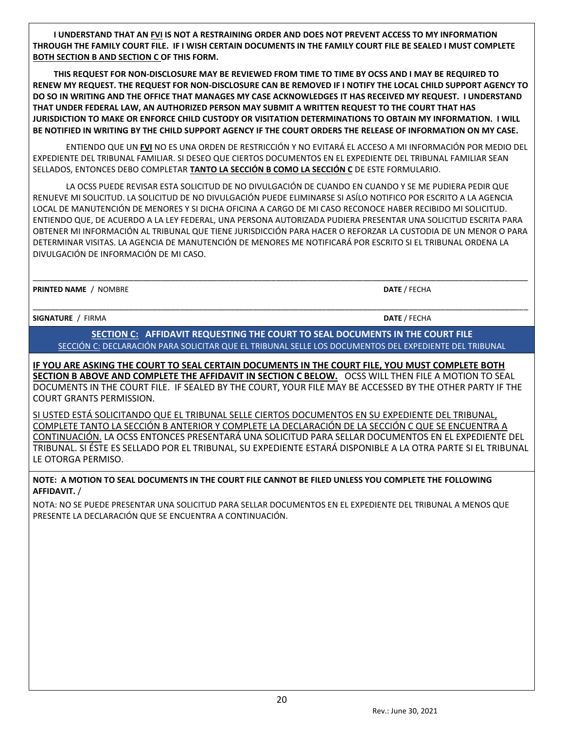**I UNDERSTAND THAT AN FVI IS NOT A RESTRAINING ORDER AND DOES NOT PREVENT ACCESS TO MY INFORMATION THROUGH THE FAMILY COURT FILE. IF I WISH CERTAIN DOCUMENTS IN THE FAMILY COURT FILE BE SEALED I MUST COMPLETE BOTH SECTION B AND SECTION C OF THIS FORM.**

 **THIS REQUEST FOR NON-DISCLOSURE MAY BE REVIEWED FROM TIME TO TIME BY OCSS AND I MAY BE REQUIRED TO RENEW MY REQUEST. THE REQUEST FOR NON-DISCLOSURE CAN BE REMOVED IF I NOTIFY THE LOCAL CHILD SUPPORT AGENCY TO DO SO IN WRITING AND THE OFFICE THAT MANAGES MY CASE ACKNOWLEDGES IT HAS RECEIVED MY REQUEST. I UNDERSTAND THAT UNDER FEDERAL LAW, AN AUTHORIZED PERSON MAY SUBMIT A WRITTEN REQUEST TO THE COURT THAT HAS JURISDICTION TO MAKE OR ENFORCE CHILD CUSTODY OR VISITATION DETERMINATIONS TO OBTAIN MY INFORMATION. I WILL BE NOTIFIED IN WRITING BY THE CHILD SUPPORT AGENCY IF THE COURT ORDERS THE RELEASE OF INFORMATION ON MY CASE.** 

ENTIENDO QUE UN **FVI** NO ES UNA ORDEN DE RESTRICCIÓN Y NO EVITARÁ EL ACCESO A MI INFORMACIÓN POR MEDIO DEL EXPEDIENTE DEL TRIBUNAL FAMILIAR. SI DESEO QUE CIERTOS DOCUMENTOS EN EL EXPEDIENTE DEL TRIBUNAL FAMILIAR SEAN SELLADOS, ENTONCES DEBO COMPLETAR **TANTO LA SECCIÓN B COMO LA SECCIÓN C** DE ESTE FORMULARIO.

LA OCSS PUEDE REVISAR ESTA SOLICITUD DE NO DIVULGACIÓN DE CUANDO EN CUANDO Y SE ME PUDIERA PEDIR QUE RENUEVE MI SOLICITUD. LA SOLICITUD DE NO DIVULGACIÓN PUEDE ELIMINARSE SI ASÍLO NOTIFICO POR ESCRITO A LA AGENCIA LOCAL DE MANUTENCIÓN DE MENORES Y SI DICHA OFICINA A CARGO DE MI CASO RECONOCE HABER RECIBIDO MI SOLICITUD. ENTIENDO QUE, DE ACUERDO A LA LEY FEDERAL, UNA PERSONA AUTORIZADA PUDIERA PRESENTAR UNA SOLICITUD ESCRITA PARA OBTENER MI INFORMACIÓN AL TRIBUNAL QUE TIENE JURISDICCIÓN PARA HACER O REFORZAR LA CUSTODIA DE UN MENOR O PARA DETERMINAR VISITAS. LA AGENCIA DE MANUTENCIÓN DE MENORES ME NOTIFICARÁ POR ESCRITO SI EL TRIBUNAL ORDENA LA DIVULGACIÓN DE INFORMACIÓN DE MI CASO.

\_\_\_\_\_\_\_\_\_\_\_\_\_\_\_\_\_\_\_\_\_\_\_\_\_\_\_\_\_\_\_\_\_\_\_\_\_\_\_\_\_\_\_\_\_\_\_\_\_\_\_\_\_\_\_\_\_\_\_\_\_\_\_\_\_\_\_\_\_\_\_\_\_\_\_\_\_\_\_\_\_\_\_\_\_\_\_\_\_\_\_\_\_\_\_\_\_\_\_\_\_\_\_\_\_\_\_\_

\_\_\_\_\_\_\_\_\_\_\_\_\_\_\_\_\_\_\_\_\_\_\_\_\_\_\_\_\_\_\_\_\_\_\_\_\_\_\_\_\_\_\_\_\_\_\_\_\_\_\_\_\_\_\_\_\_\_\_\_\_\_\_\_\_\_\_\_\_\_\_\_\_\_\_\_\_\_\_\_\_\_\_\_\_\_\_\_\_\_\_\_\_\_\_\_\_\_\_\_\_\_\_\_\_\_\_\_

**PRINTED NAME** / NOMBRE **DATE** / FECHA

**SIGNATURE** / FIRMA **DATE** / FECHA

**SECTION C: AFFIDAVIT REQUESTING THE COURT TO SEAL DOCUMENTS IN THE COURT FILE** SECCIÓN C: DECLARACIÓN PARA SOLICITAR QUE EL TRIBUNAL SELLE LOS DOCUMENTOS DEL EXPEDIENTE DEL TRIBUNAL

**IF YOU ARE ASKING THE COURT TO SEAL CERTAIN DOCUMENTS IN THE COURT FILE, YOU MUST COMPLETE BOTH SECTION B ABOVE AND COMPLETE THE AFFIDAVIT IN SECTION C BELOW.** OCSS WILL THEN FILE A MOTION TO SEAL DOCUMENTS IN THE COURT FILE. IF SEALED BY THE COURT, YOUR FILE MAY BE ACCESSED BY THE OTHER PARTY IF THE COURT GRANTS PERMISSION.

SI USTED ESTÁ SOLICITANDO QUE EL TRIBUNAL SELLE CIERTOS DOCUMENTOS EN SU EXPEDIENTE DEL TRIBUNAL, COMPLETE TANTO LA SECCIÓN B ANTERIOR Y COMPLETE LA DECLARACIÓN DE LA SECCIÓN C QUE SE ENCUENTRA A CONTINUACIÓN. LA OCSS ENTONCES PRESENTARÁ UNA SOLICITUD PARA SELLAR DOCUMENTOS EN EL EXPEDIENTE DEL TRIBUNAL. SI ÉSTE ES SELLADO POR EL TRIBUNAL, SU EXPEDIENTE ESTARÁ DISPONIBLE A LA OTRA PARTE SI EL TRIBUNAL LE OTORGA PERMISO.

#### **NOTE: A MOTION TO SEAL DOCUMENTS IN THE COURT FILE CANNOT BE FILED UNLESS YOU COMPLETE THE FOLLOWING AFFIDAVIT.** /

NOTA: NO SE PUEDE PRESENTAR UNA SOLICITUD PARA SELLAR DOCUMENTOS EN EL EXPEDIENTE DEL TRIBUNAL A MENOS QUE PRESENTE LA DECLARACIÓN QUE SE ENCUENTRA A CONTINUACIÓN.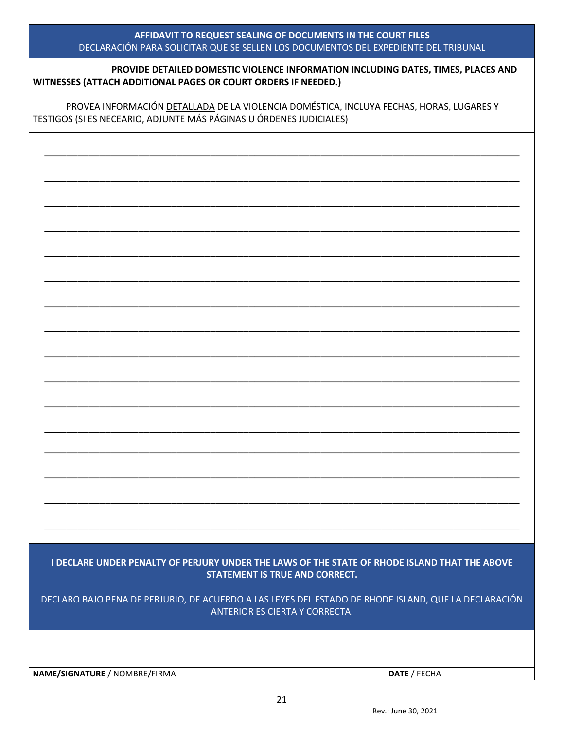| AFFIDAVIT TO REQUEST SEALING OF DOCUMENTS IN THE COURT FILES                        |
|-------------------------------------------------------------------------------------|
| DECLARACION PARA SOLICITAR QUE SE SELLEN LOS DOCUMENTOS DEL EXPEDIENTE DEL TRIBUNAL |

\_\_\_\_\_\_\_\_\_\_\_\_\_\_\_\_\_\_\_\_\_\_\_\_\_\_\_\_\_\_\_\_\_\_\_\_\_\_\_\_\_\_\_\_\_\_\_\_\_\_\_\_\_\_\_\_\_\_\_\_\_\_\_\_\_\_\_\_\_\_\_\_\_\_\_\_\_\_\_\_\_\_\_\_\_\_

\_\_\_\_\_\_\_\_\_\_\_\_\_\_\_\_\_\_\_\_\_\_\_\_\_\_\_\_\_\_\_\_\_\_\_\_\_\_\_\_\_\_\_\_\_\_\_\_\_\_\_\_\_\_\_\_\_\_\_\_\_\_\_\_\_\_\_\_\_\_\_\_\_\_\_\_\_\_\_\_\_\_\_\_\_\_

\_\_\_\_\_\_\_\_\_\_\_\_\_\_\_\_\_\_\_\_\_\_\_\_\_\_\_\_\_\_\_\_\_\_\_\_\_\_\_\_\_\_\_\_\_\_\_\_\_\_\_\_\_\_\_\_\_\_\_\_\_\_\_\_\_\_\_\_\_\_\_\_\_\_\_\_\_\_\_\_\_\_\_\_\_\_

\_\_\_\_\_\_\_\_\_\_\_\_\_\_\_\_\_\_\_\_\_\_\_\_\_\_\_\_\_\_\_\_\_\_\_\_\_\_\_\_\_\_\_\_\_\_\_\_\_\_\_\_\_\_\_\_\_\_\_\_\_\_\_\_\_\_\_\_\_\_\_\_\_\_\_\_\_\_\_\_\_\_\_\_\_\_

\_\_\_\_\_\_\_\_\_\_\_\_\_\_\_\_\_\_\_\_\_\_\_\_\_\_\_\_\_\_\_\_\_\_\_\_\_\_\_\_\_\_\_\_\_\_\_\_\_\_\_\_\_\_\_\_\_\_\_\_\_\_\_\_\_\_\_\_\_\_\_\_\_\_\_\_\_\_\_\_\_\_\_\_\_\_

\_\_\_\_\_\_\_\_\_\_\_\_\_\_\_\_\_\_\_\_\_\_\_\_\_\_\_\_\_\_\_\_\_\_\_\_\_\_\_\_\_\_\_\_\_\_\_\_\_\_\_\_\_\_\_\_\_\_\_\_\_\_\_\_\_\_\_\_\_\_\_\_\_\_\_\_\_\_\_\_\_\_\_\_\_\_

\_\_\_\_\_\_\_\_\_\_\_\_\_\_\_\_\_\_\_\_\_\_\_\_\_\_\_\_\_\_\_\_\_\_\_\_\_\_\_\_\_\_\_\_\_\_\_\_\_\_\_\_\_\_\_\_\_\_\_\_\_\_\_\_\_\_\_\_\_\_\_\_\_\_\_\_\_\_\_\_\_\_\_\_\_\_

\_\_\_\_\_\_\_\_\_\_\_\_\_\_\_\_\_\_\_\_\_\_\_\_\_\_\_\_\_\_\_\_\_\_\_\_\_\_\_\_\_\_\_\_\_\_\_\_\_\_\_\_\_\_\_\_\_\_\_\_\_\_\_\_\_\_\_\_\_\_\_\_\_\_\_\_\_\_\_\_\_\_\_\_\_\_

\_\_\_\_\_\_\_\_\_\_\_\_\_\_\_\_\_\_\_\_\_\_\_\_\_\_\_\_\_\_\_\_\_\_\_\_\_\_\_\_\_\_\_\_\_\_\_\_\_\_\_\_\_\_\_\_\_\_\_\_\_\_\_\_\_\_\_\_\_\_\_\_\_\_\_\_\_\_\_\_\_\_\_\_\_\_

\_\_\_\_\_\_\_\_\_\_\_\_\_\_\_\_\_\_\_\_\_\_\_\_\_\_\_\_\_\_\_\_\_\_\_\_\_\_\_\_\_\_\_\_\_\_\_\_\_\_\_\_\_\_\_\_\_\_\_\_\_\_\_\_\_\_\_\_\_\_\_\_\_\_\_\_\_\_\_\_\_\_\_\_\_\_

\_\_\_\_\_\_\_\_\_\_\_\_\_\_\_\_\_\_\_\_\_\_\_\_\_\_\_\_\_\_\_\_\_\_\_\_\_\_\_\_\_\_\_\_\_\_\_\_\_\_\_\_\_\_\_\_\_\_\_\_\_\_\_\_\_\_\_\_\_\_\_\_\_\_\_\_\_\_\_\_\_\_\_\_\_\_

\_\_\_\_\_\_\_\_\_\_\_\_\_\_\_\_\_\_\_\_\_\_\_\_\_\_\_\_\_\_\_\_\_\_\_\_\_\_\_\_\_\_\_\_\_\_\_\_\_\_\_\_\_\_\_\_\_\_\_\_\_\_\_\_\_\_\_\_\_\_\_\_\_\_\_\_\_\_\_\_\_\_\_\_\_\_

\_\_\_\_\_\_\_\_\_\_\_\_\_\_\_\_\_\_\_\_\_\_\_\_\_\_\_\_\_\_\_\_\_\_\_\_\_\_\_\_\_\_\_\_\_\_\_\_\_\_\_\_\_\_\_\_\_\_\_\_\_\_\_\_\_\_\_\_\_\_\_\_\_\_\_\_\_\_\_\_\_\_\_\_\_\_

\_\_\_\_\_\_\_\_\_\_\_\_\_\_\_\_\_\_\_\_\_\_\_\_\_\_\_\_\_\_\_\_\_\_\_\_\_\_\_\_\_\_\_\_\_\_\_\_\_\_\_\_\_\_\_\_\_\_\_\_\_\_\_\_\_\_\_\_\_\_\_\_\_\_\_\_\_\_\_\_\_\_\_\_\_\_

\_\_\_\_\_\_\_\_\_\_\_\_\_\_\_\_\_\_\_\_\_\_\_\_\_\_\_\_\_\_\_\_\_\_\_\_\_\_\_\_\_\_\_\_\_\_\_\_\_\_\_\_\_\_\_\_\_\_\_\_\_\_\_\_\_\_\_\_\_\_\_\_\_\_\_\_\_\_\_\_\_\_\_\_\_\_

\_\_\_\_\_\_\_\_\_\_\_\_\_\_\_\_\_\_\_\_\_\_\_\_\_\_\_\_\_\_\_\_\_\_\_\_\_\_\_\_\_\_\_\_\_\_\_\_\_\_\_\_\_\_\_\_\_\_\_\_\_\_\_\_\_\_\_\_\_\_\_\_\_\_\_\_\_\_\_\_\_\_\_\_\_\_

| PROVIDE DETAILED DOMESTIC VIOLENCE INFORMATION INCLUDING DATES, TIMES, PLACES AND |  |
|-----------------------------------------------------------------------------------|--|
| WITNESSES (ATTACH ADDITIONAL PAGES OR COURT ORDERS IF NEEDED.)                    |  |

PROVEA INFORMACIÓN DETALLADA DE LA VIOLENCIA DOMÉSTICA, INCLUYA FECHAS, HORAS, LUGARES Y TESTIGOS (SI ES NECEARIO, ADJUNTE MÁS PÁGINAS U ÓRDENES JUDICIALES)

**I DECLARE UNDER PENALTY OF PERJURY UNDER THE LAWS OF THE STATE OF RHODE ISLAND THAT THE ABOVE STATEMENT IS TRUE AND CORRECT.**

DECLARO BAJO PENA DE PERJURIO, DE ACUERDO A LAS LEYES DEL ESTADO DE RHODE ISLAND, QUE LA DECLARACIÓN ANTERIOR ES CIERTA Y CORRECTA.

**NAME/SIGNATURE** / NOMBRE/FIRMA **DATE** / FECHA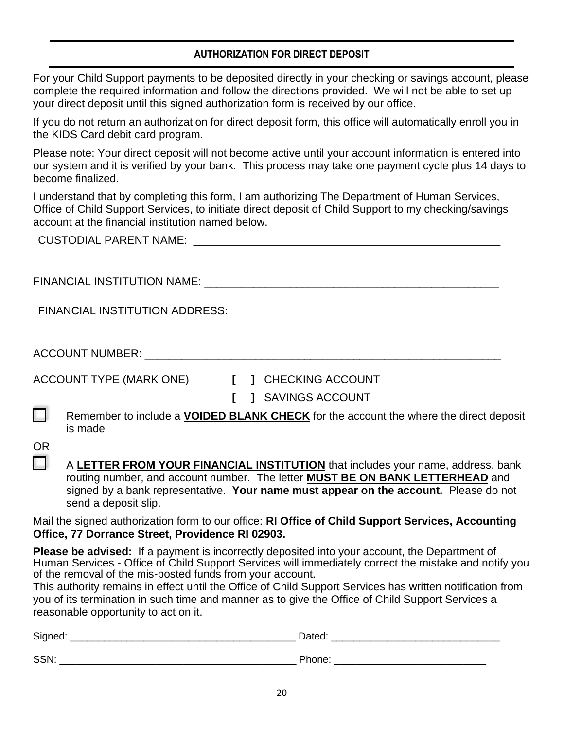# **AUTHORIZATION FOR DIRECT DEPOSIT**

For your Child Support payments to be deposited directly in your checking or savings account, please complete the required information and follow the directions provided. We will not be able to set up your direct deposit until this signed authorization form is received by our office.

If you do not return an authorization for direct deposit form, this office will automatically enroll you in the KIDS Card debit card program.

Please note: Your direct deposit will not become active until your account information is entered into our system and it is verified by your bank. This process may take one payment cycle plus 14 days to become finalized.

I understand that by completing this form, I am authorizing The Department of Human Services, Office of Child Support Services, to initiate direct deposit of Child Support to my checking/savings account at the financial institution named below.

CUSTODIAL PARENT NAME: \_\_\_\_\_\_\_\_\_\_\_\_\_\_\_\_\_\_\_\_\_\_\_\_\_\_\_\_\_\_\_\_\_\_\_\_\_\_\_\_\_\_\_\_\_\_\_\_\_\_

FINANCIAL INSTITUTION NAME: \_\_\_\_\_\_\_\_\_\_\_\_\_\_\_\_\_\_\_\_\_\_\_\_\_\_\_\_\_\_\_\_\_\_\_\_\_\_\_\_\_\_\_\_\_\_\_\_

FINANCIAL INSTITUTION ADDRESS:

ACCOUNT NUMBER: \_\_\_\_\_\_\_\_\_\_\_\_\_\_\_\_\_\_\_\_\_\_\_\_\_\_\_\_\_\_\_\_\_\_\_\_\_\_\_\_\_\_\_\_\_\_\_\_\_\_\_\_\_\_\_\_\_\_

ACCOUNT TYPE (MARK ONE) **[ ]** CHECKING ACCOUNT

- 
- **[ ]** SAVINGS ACCOUNT
- Remember to include a **VOIDED BLANK CHECK** for the account the where the direct deposit is made

OR II.

| A LETTER FROM YOUR FINANCIAL INSTITUTION that includes your name, address, bank      |
|--------------------------------------------------------------------------------------|
| routing number, and account number. The letter MUST BE ON BANK LETTERHEAD and        |
| signed by a bank representative. Your name must appear on the account. Please do not |
| send a deposit slip.                                                                 |

Mail the signed authorization form to our office: **RI Office of Child Support Services, Accounting Office, 77 Dorrance Street, Providence RI 02903.**

**Please be advised:** If a payment is incorrectly deposited into your account, the Department of Human Services - Office of Child Support Services will immediately correct the mistake and notify you of the removal of the mis-posted funds from your account.

This authority remains in effect until the Office of Child Support Services has written notification from you of its termination in such time and manner as to give the Office of Child Support Services a reasonable opportunity to act on it.

| Signed: | Dated. |
|---------|--------|
|         |        |
| SSN:    | Phone: |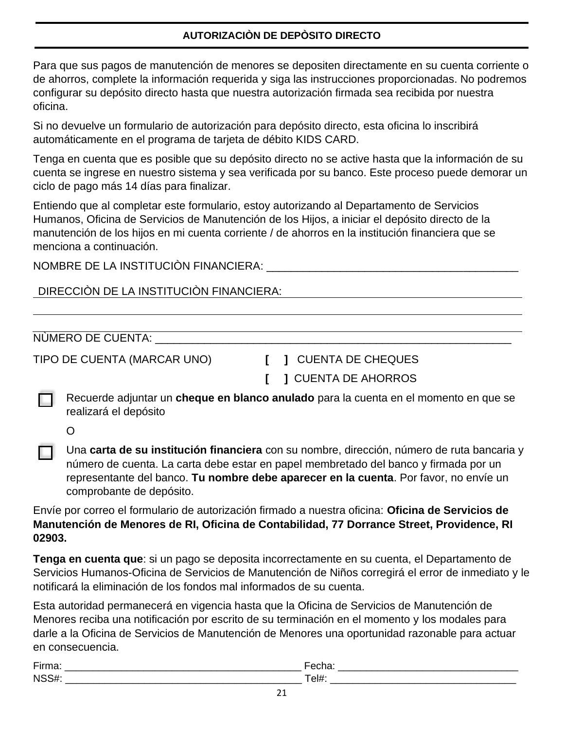# **AUTORIZACIÒN DE DEPÒSITO DIRECTO**

Para que sus pagos de manutención de menores se depositen directamente en su cuenta corriente o de ahorros, complete la información requerida y siga las instrucciones proporcionadas. No podremos configurar su depósito directo hasta que nuestra autorización firmada sea recibida por nuestra oficina.

Si no devuelve un formulario de autorización para depósito directo, esta oficina lo inscribirá automáticamente en el programa de tarjeta de débito KIDS CARD.

Tenga en cuenta que es posible que su depósito directo no se active hasta que la información de su cuenta se ingrese en nuestro sistema y sea verificada por su banco. Este proceso puede demorar un ciclo de pago más 14 días para finalizar.

Entiendo que al completar este formulario, estoy autorizando al Departamento de Servicios Humanos, Oficina de Servicios de Manutención de los Hijos, a iniciar el depósito directo de la manutención de los hijos en mi cuenta corriente / de ahorros en la institución financiera que se menciona a continuación.

NOMBRE DE LA INSTITUCIÒN FINANCIERA: \_\_\_\_\_\_\_\_\_\_\_\_\_\_\_\_\_\_\_\_\_\_\_\_\_\_\_\_\_\_\_\_\_\_\_\_\_\_\_\_\_

# DIRECCIÒN DE LA INSTITUCIÒN FINANCIERA:

NÙMERO DE CUENTA:

TIPO DE CUENTA (MARCAR UNO) **[ ]** CUENTA DE CHEQUES

**[ ]** CUENTA DE AHORROS

Recuerde adjuntar un **cheque en blanco anulado** para la cuenta en el momento en que se realizará el depósito

O

Una **carta de su institución financiera** con su nombre, dirección, número de ruta bancaria y número de cuenta. La carta debe estar en papel membretado del banco y firmada por un representante del banco. **Tu nombre debe aparecer en la cuenta**. Por favor, no envíe un comprobante de depósito.

Envíe por correo el formulario de autorización firmado a nuestra oficina: **Oficina de Servicios de Manutención de Menores de RI, Oficina de Contabilidad, 77 Dorrance Street, Providence, RI 02903.**

**Tenga en cuenta que**: si un pago se deposita incorrectamente en su cuenta, el Departamento de Servicios Humanos-Oficina de Servicios de Manutención de Niños corregirá el error de inmediato y le notificará la eliminación de los fondos mal informados de su cuenta.

Esta autoridad permanecerá en vigencia hasta que la Oficina de Servicios de Manutención de Menores reciba una notificación por escrito de su terminación en el momento y los modales para darle a la Oficina de Servicios de Manutención de Menores una oportunidad razonable para actuar en consecuencia.

| $-$              | ᠁      |
|------------------|--------|
| $N^{\mathsf{c}}$ | .<br>◡ |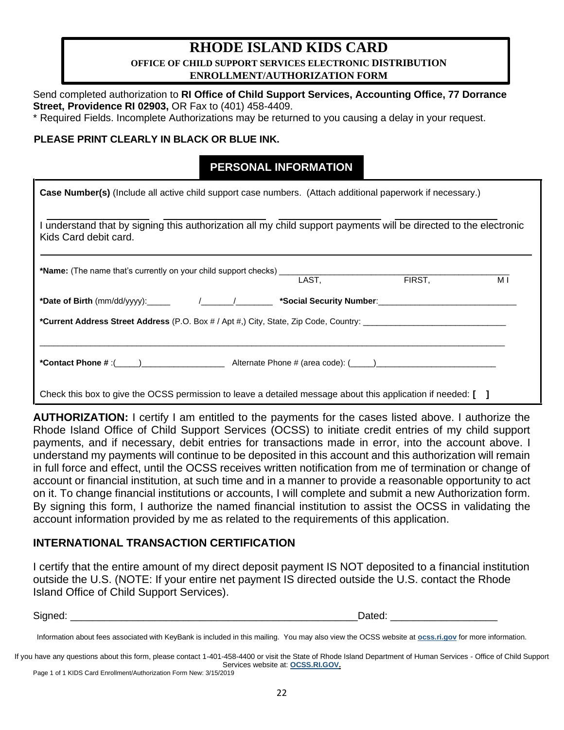# **RHODE ISLAND KIDS CARD OFFICE OF CHILD SUPPORT SERVICES ELECTRONIC DISTRIBUTION ENROLLMENT/AUTHORIZATION FORM**

Send completed authorization to **RI Office of Child Support Services, Accounting Office, 77 Dorrance Street, Providence RI 02903,** OR Fax to (401) 458-4409.

\* Required Fields. Incomplete Authorizations may be returned to you causing a delay in your request.

## **PLEASE PRINT CLEARLY IN BLACK OR BLUE INK.**

# **PERSONAL INFORMATION**

| Case Number(s) (Include all active child support case numbers. (Attach additional paperwork if necessary.)                              |       |        |     |  |
|-----------------------------------------------------------------------------------------------------------------------------------------|-------|--------|-----|--|
| understand that by signing this authorization all my child support payments will be directed to the electronic<br>Kids Card debit card. |       |        |     |  |
| *Name: (The name that's currently on your child support checks)                                                                         | LAST. | FIRST, | M I |  |
| *Date of Birth (mm/dd/yyyy):______  /_______/__________ *Social Security Number:__________________________                              |       |        |     |  |
| *Current Address Street Address (P.O. Box # / Apt #,) City, State, Zip Code, Country: _________________________                         |       |        |     |  |
|                                                                                                                                         |       |        |     |  |
| Check this box to give the OCSS permission to leave a detailed message about this application if needed: [ ]                            |       |        |     |  |

**AUTHORIZATION:** I certify I am entitled to the payments for the cases listed above. I authorize the Rhode Island Office of Child Support Services (OCSS) to initiate credit entries of my child support payments, and if necessary, debit entries for transactions made in error, into the account above. I understand my payments will continue to be deposited in this account and this authorization will remain in full force and effect, until the OCSS receives written notification from me of termination or change of account or financial institution, at such time and in a manner to provide a reasonable opportunity to act on it. To change financial institutions or accounts, I will complete and submit a new Authorization form. By signing this form, I authorize the named financial institution to assist the OCSS in validating the account information provided by me as related to the requirements of this application.

# **INTERNATIONAL TRANSACTION CERTIFICATION**

I certify that the entire amount of my direct deposit payment IS NOT deposited to a financial institution outside the U.S. (NOTE: If your entire net payment IS directed outside the U.S. contact the Rhode Island Office of Child Support Services).

Signed: \_\_\_\_\_\_\_\_\_\_\_\_\_\_\_\_\_\_\_\_\_\_\_\_\_\_\_\_\_\_\_\_\_\_\_\_\_\_\_\_\_\_\_\_\_\_\_\_\_\_\_Dated: \_\_\_\_\_\_\_\_\_\_\_\_\_\_\_\_\_\_\_

Information about fees associated with KeyBank is included in this mailing. You may also view the OCSS website at **[ocss.ri.gov](http://www.cse.ri.gov/)** for more information.

If you have any questions about this form, please contact 1-401-458-4400 or visit the State of Rhode Island Department of Human Services - Office of Child Support Services website at: **[OCSS.RI.GOV.](http://www.cse.ri.gov/)**

Page 1 of 1 KIDS Card Enrollment/Authorization Form New: 3/15/2019